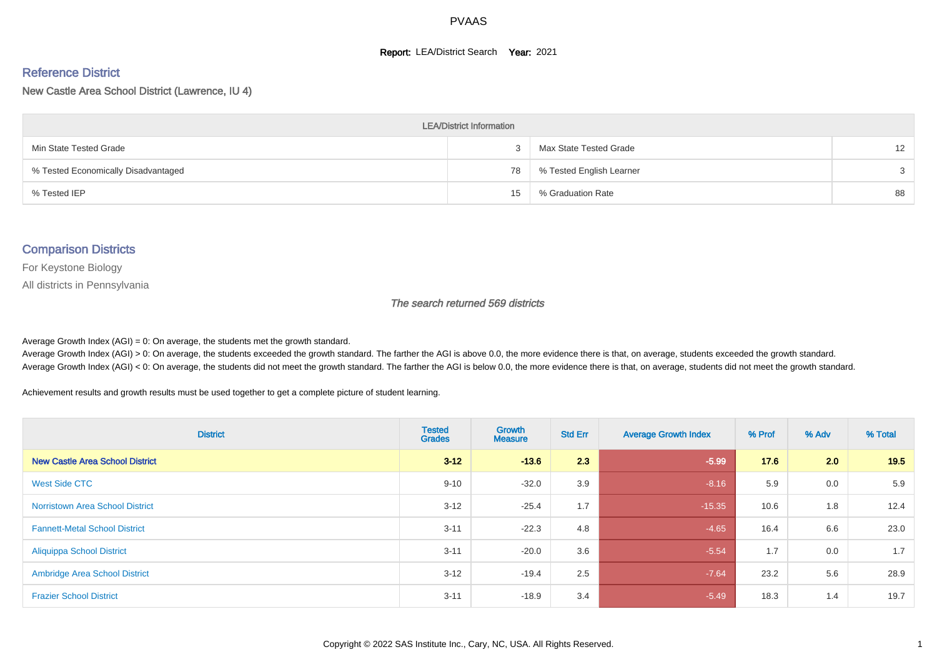#### **Report: LEA/District Search Year: 2021**

#### Reference District

New Castle Area School District (Lawrence, IU 4)

| <b>LEA/District Information</b>     |    |                          |                   |  |  |  |  |  |  |
|-------------------------------------|----|--------------------------|-------------------|--|--|--|--|--|--|
| Min State Tested Grade              |    | Max State Tested Grade   | $12 \overline{ }$ |  |  |  |  |  |  |
| % Tested Economically Disadvantaged | 78 | % Tested English Learner | 3                 |  |  |  |  |  |  |
| % Tested IEP                        | 15 | % Graduation Rate        | 88                |  |  |  |  |  |  |

#### Comparison Districts

For Keystone Biology

All districts in Pennsylvania

The search returned 569 districts

Average Growth Index  $(AGI) = 0$ : On average, the students met the growth standard.

Average Growth Index (AGI) > 0: On average, the students exceeded the growth standard. The farther the AGI is above 0.0, the more evidence there is that, on average, students exceeded the growth standard. Average Growth Index (AGI) < 0: On average, the students did not meet the growth standard. The farther the AGI is below 0.0, the more evidence there is that, on average, students did not meet the growth standard.

Achievement results and growth results must be used together to get a complete picture of student learning.

| <b>District</b>                        | <b>Tested</b><br><b>Grades</b> | Growth<br><b>Measure</b> | <b>Std Err</b> | <b>Average Growth Index</b> | % Prof | % Adv | % Total |
|----------------------------------------|--------------------------------|--------------------------|----------------|-----------------------------|--------|-------|---------|
| <b>New Castle Area School District</b> | $3 - 12$                       | $-13.6$                  | 2.3            | $-5.99$                     | 17.6   | 2.0   | 19.5    |
| West Side CTC                          | $9 - 10$                       | $-32.0$                  | 3.9            | $-8.16$                     | 5.9    | 0.0   | 5.9     |
| <b>Norristown Area School District</b> | $3 - 12$                       | $-25.4$                  | 1.7            | $-15.35$                    | 10.6   | 1.8   | 12.4    |
| <b>Fannett-Metal School District</b>   | $3 - 11$                       | $-22.3$                  | 4.8            | $-4.65$                     | 16.4   | 6.6   | 23.0    |
| <b>Aliquippa School District</b>       | $3 - 11$                       | $-20.0$                  | 3.6            | $-5.54$                     | 1.7    | 0.0   | 1.7     |
| <b>Ambridge Area School District</b>   | $3 - 12$                       | $-19.4$                  | 2.5            | $-7.64$                     | 23.2   | 5.6   | 28.9    |
| <b>Frazier School District</b>         | $3 - 11$                       | $-18.9$                  | 3.4            | $-5.49$                     | 18.3   | 1.4   | 19.7    |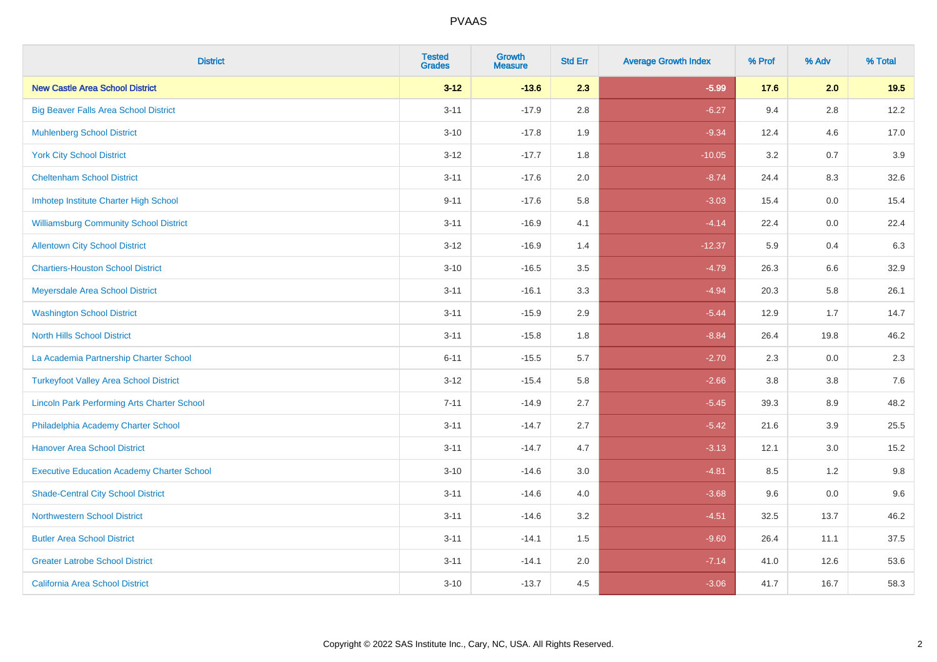| <b>District</b>                                    | <b>Tested</b><br><b>Grades</b> | <b>Growth</b><br><b>Measure</b> | <b>Std Err</b> | <b>Average Growth Index</b> | % Prof | % Adv   | % Total |
|----------------------------------------------------|--------------------------------|---------------------------------|----------------|-----------------------------|--------|---------|---------|
| <b>New Castle Area School District</b>             | $3 - 12$                       | $-13.6$                         | 2.3            | $-5.99$                     | 17.6   | 2.0     | 19.5    |
| <b>Big Beaver Falls Area School District</b>       | $3 - 11$                       | $-17.9$                         | 2.8            | $-6.27$                     | 9.4    | 2.8     | 12.2    |
| <b>Muhlenberg School District</b>                  | $3 - 10$                       | $-17.8$                         | 1.9            | $-9.34$                     | 12.4   | 4.6     | 17.0    |
| <b>York City School District</b>                   | $3-12$                         | $-17.7$                         | 1.8            | $-10.05$                    | 3.2    | 0.7     | 3.9     |
| <b>Cheltenham School District</b>                  | $3 - 11$                       | $-17.6$                         | 2.0            | $-8.74$                     | 24.4   | 8.3     | 32.6    |
| Imhotep Institute Charter High School              | $9 - 11$                       | $-17.6$                         | 5.8            | $-3.03$                     | 15.4   | 0.0     | 15.4    |
| <b>Williamsburg Community School District</b>      | $3 - 11$                       | $-16.9$                         | 4.1            | $-4.14$                     | 22.4   | $0.0\,$ | 22.4    |
| <b>Allentown City School District</b>              | $3 - 12$                       | $-16.9$                         | 1.4            | $-12.37$                    | 5.9    | 0.4     | 6.3     |
| <b>Chartiers-Houston School District</b>           | $3 - 10$                       | $-16.5$                         | 3.5            | $-4.79$                     | 26.3   | 6.6     | 32.9    |
| Meyersdale Area School District                    | $3 - 11$                       | $-16.1$                         | 3.3            | $-4.94$                     | 20.3   | 5.8     | 26.1    |
| <b>Washington School District</b>                  | $3 - 11$                       | $-15.9$                         | 2.9            | $-5.44$                     | 12.9   | 1.7     | 14.7    |
| <b>North Hills School District</b>                 | $3 - 11$                       | $-15.8$                         | 1.8            | $-8.84$                     | 26.4   | 19.8    | 46.2    |
| La Academia Partnership Charter School             | $6 - 11$                       | $-15.5$                         | 5.7            | $-2.70$                     | 2.3    | 0.0     | 2.3     |
| <b>Turkeyfoot Valley Area School District</b>      | $3 - 12$                       | $-15.4$                         | 5.8            | $-2.66$                     | 3.8    | $3.8\,$ | 7.6     |
| <b>Lincoln Park Performing Arts Charter School</b> | $7 - 11$                       | $-14.9$                         | 2.7            | $-5.45$                     | 39.3   | 8.9     | 48.2    |
| Philadelphia Academy Charter School                | $3 - 11$                       | $-14.7$                         | 2.7            | $-5.42$                     | 21.6   | 3.9     | 25.5    |
| <b>Hanover Area School District</b>                | $3 - 11$                       | $-14.7$                         | 4.7            | $-3.13$                     | 12.1   | 3.0     | 15.2    |
| <b>Executive Education Academy Charter School</b>  | $3 - 10$                       | $-14.6$                         | 3.0            | $-4.81$                     | 8.5    | $1.2$   | 9.8     |
| <b>Shade-Central City School District</b>          | $3 - 11$                       | $-14.6$                         | 4.0            | $-3.68$                     | 9.6    | 0.0     | 9.6     |
| <b>Northwestern School District</b>                | $3 - 11$                       | $-14.6$                         | 3.2            | $-4.51$                     | 32.5   | 13.7    | 46.2    |
| <b>Butler Area School District</b>                 | $3 - 11$                       | $-14.1$                         | 1.5            | $-9.60$                     | 26.4   | 11.1    | 37.5    |
| <b>Greater Latrobe School District</b>             | $3 - 11$                       | $-14.1$                         | 2.0            | $-7.14$                     | 41.0   | 12.6    | 53.6    |
| <b>California Area School District</b>             | $3 - 10$                       | $-13.7$                         | 4.5            | $-3.06$                     | 41.7   | 16.7    | 58.3    |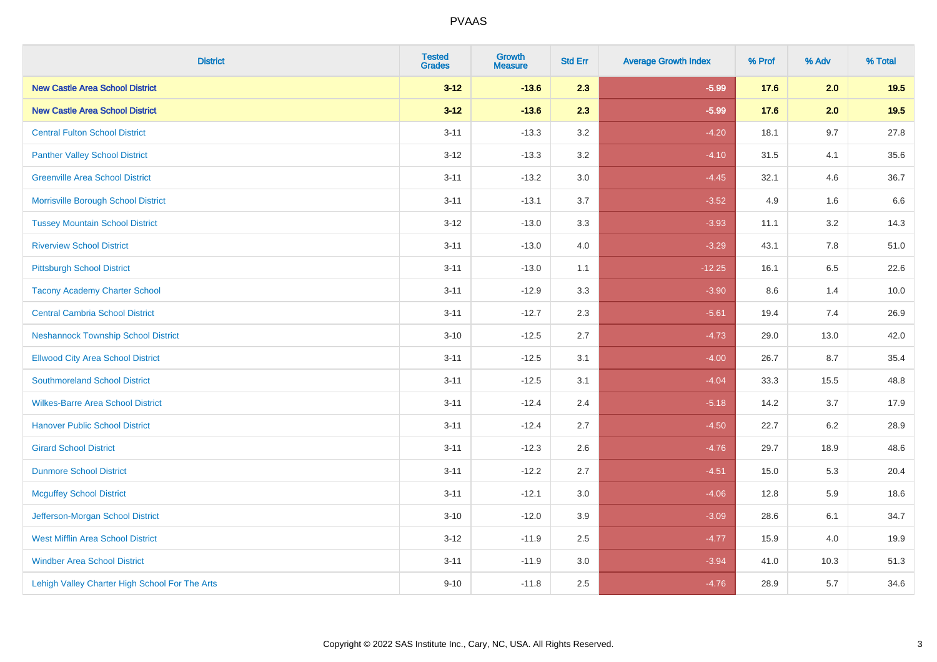| <b>District</b>                                | <b>Tested</b><br><b>Grades</b> | <b>Growth</b><br><b>Measure</b> | <b>Std Err</b> | <b>Average Growth Index</b> | % Prof | % Adv   | % Total |
|------------------------------------------------|--------------------------------|---------------------------------|----------------|-----------------------------|--------|---------|---------|
| <b>New Castle Area School District</b>         | $3 - 12$                       | $-13.6$                         | 2.3            | $-5.99$                     | 17.6   | 2.0     | 19.5    |
| <b>New Castle Area School District</b>         | $3 - 12$                       | $-13.6$                         | 2.3            | $-5.99$                     | 17.6   | 2.0     | 19.5    |
| <b>Central Fulton School District</b>          | $3 - 11$                       | $-13.3$                         | 3.2            | $-4.20$                     | 18.1   | 9.7     | 27.8    |
| <b>Panther Valley School District</b>          | $3-12$                         | $-13.3$                         | 3.2            | $-4.10$                     | 31.5   | 4.1     | 35.6    |
| <b>Greenville Area School District</b>         | $3 - 11$                       | $-13.2$                         | 3.0            | $-4.45$                     | 32.1   | 4.6     | 36.7    |
| Morrisville Borough School District            | $3 - 11$                       | $-13.1$                         | 3.7            | $-3.52$                     | 4.9    | 1.6     | 6.6     |
| <b>Tussey Mountain School District</b>         | $3 - 12$                       | $-13.0$                         | 3.3            | $-3.93$                     | 11.1   | 3.2     | 14.3    |
| <b>Riverview School District</b>               | $3 - 11$                       | $-13.0$                         | 4.0            | $-3.29$                     | 43.1   | 7.8     | 51.0    |
| <b>Pittsburgh School District</b>              | $3 - 11$                       | $-13.0$                         | 1.1            | $-12.25$                    | 16.1   | 6.5     | 22.6    |
| <b>Tacony Academy Charter School</b>           | $3 - 11$                       | $-12.9$                         | 3.3            | $-3.90$                     | 8.6    | 1.4     | 10.0    |
| <b>Central Cambria School District</b>         | $3 - 11$                       | $-12.7$                         | 2.3            | $-5.61$                     | 19.4   | 7.4     | 26.9    |
| <b>Neshannock Township School District</b>     | $3 - 10$                       | $-12.5$                         | 2.7            | $-4.73$                     | 29.0   | 13.0    | 42.0    |
| <b>Ellwood City Area School District</b>       | $3 - 11$                       | $-12.5$                         | 3.1            | $-4.00$                     | 26.7   | 8.7     | 35.4    |
| <b>Southmoreland School District</b>           | $3 - 11$                       | $-12.5$                         | 3.1            | $-4.04$                     | 33.3   | 15.5    | 48.8    |
| <b>Wilkes-Barre Area School District</b>       | $3 - 11$                       | $-12.4$                         | 2.4            | $-5.18$                     | 14.2   | 3.7     | 17.9    |
| <b>Hanover Public School District</b>          | $3 - 11$                       | $-12.4$                         | 2.7            | $-4.50$                     | 22.7   | $6.2\,$ | 28.9    |
| <b>Girard School District</b>                  | $3 - 11$                       | $-12.3$                         | 2.6            | $-4.76$                     | 29.7   | 18.9    | 48.6    |
| <b>Dunmore School District</b>                 | $3 - 11$                       | $-12.2$                         | 2.7            | $-4.51$                     | 15.0   | 5.3     | 20.4    |
| <b>Mcguffey School District</b>                | $3 - 11$                       | $-12.1$                         | 3.0            | $-4.06$                     | 12.8   | 5.9     | 18.6    |
| Jefferson-Morgan School District               | $3 - 10$                       | $-12.0$                         | 3.9            | $-3.09$                     | 28.6   | 6.1     | 34.7    |
| <b>West Mifflin Area School District</b>       | $3-12$                         | $-11.9$                         | 2.5            | $-4.77$                     | 15.9   | 4.0     | 19.9    |
| <b>Windber Area School District</b>            | $3 - 11$                       | $-11.9$                         | 3.0            | $-3.94$                     | 41.0   | 10.3    | 51.3    |
| Lehigh Valley Charter High School For The Arts | $9 - 10$                       | $-11.8$                         | 2.5            | $-4.76$                     | 28.9   | 5.7     | 34.6    |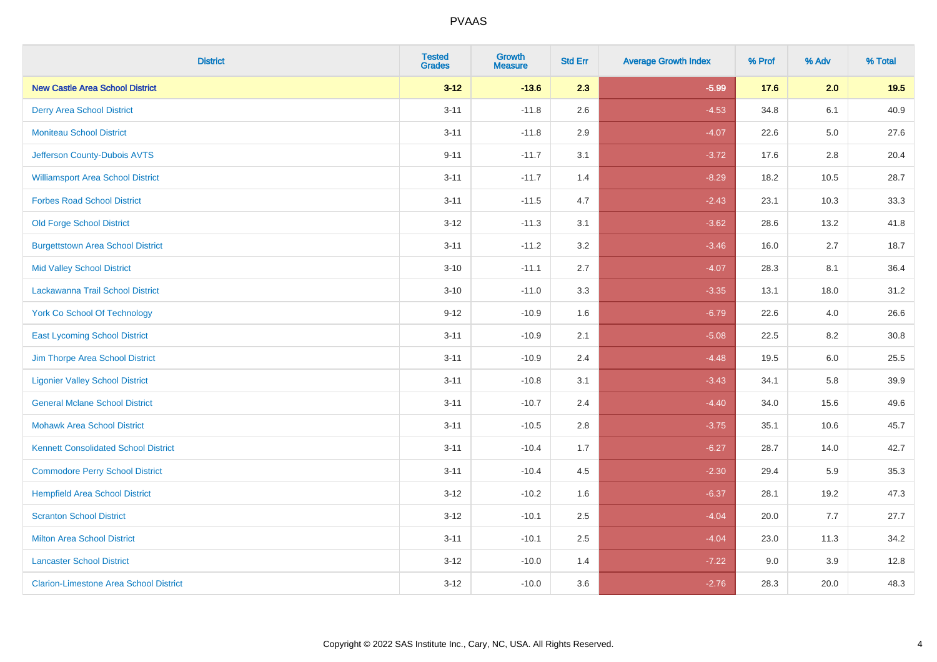| <b>District</b>                               | <b>Tested</b><br><b>Grades</b> | <b>Growth</b><br><b>Measure</b> | <b>Std Err</b> | <b>Average Growth Index</b> | % Prof | % Adv   | % Total |
|-----------------------------------------------|--------------------------------|---------------------------------|----------------|-----------------------------|--------|---------|---------|
| <b>New Castle Area School District</b>        | $3 - 12$                       | $-13.6$                         | 2.3            | $-5.99$                     | 17.6   | 2.0     | 19.5    |
| <b>Derry Area School District</b>             | $3 - 11$                       | $-11.8$                         | 2.6            | $-4.53$                     | 34.8   | 6.1     | 40.9    |
| <b>Moniteau School District</b>               | $3 - 11$                       | $-11.8$                         | 2.9            | $-4.07$                     | 22.6   | $5.0\,$ | 27.6    |
| Jefferson County-Dubois AVTS                  | $9 - 11$                       | $-11.7$                         | 3.1            | $-3.72$                     | 17.6   | 2.8     | 20.4    |
| <b>Williamsport Area School District</b>      | $3 - 11$                       | $-11.7$                         | 1.4            | $-8.29$                     | 18.2   | 10.5    | 28.7    |
| <b>Forbes Road School District</b>            | $3 - 11$                       | $-11.5$                         | 4.7            | $-2.43$                     | 23.1   | 10.3    | 33.3    |
| <b>Old Forge School District</b>              | $3 - 12$                       | $-11.3$                         | 3.1            | $-3.62$                     | 28.6   | 13.2    | 41.8    |
| <b>Burgettstown Area School District</b>      | $3 - 11$                       | $-11.2$                         | 3.2            | $-3.46$                     | 16.0   | 2.7     | 18.7    |
| <b>Mid Valley School District</b>             | $3 - 10$                       | $-11.1$                         | 2.7            | $-4.07$                     | 28.3   | 8.1     | 36.4    |
| Lackawanna Trail School District              | $3 - 10$                       | $-11.0$                         | 3.3            | $-3.35$                     | 13.1   | 18.0    | 31.2    |
| <b>York Co School Of Technology</b>           | $9 - 12$                       | $-10.9$                         | 1.6            | $-6.79$                     | 22.6   | 4.0     | 26.6    |
| <b>East Lycoming School District</b>          | $3 - 11$                       | $-10.9$                         | 2.1            | $-5.08$                     | 22.5   | 8.2     | 30.8    |
| Jim Thorpe Area School District               | $3 - 11$                       | $-10.9$                         | 2.4            | $-4.48$                     | 19.5   | $6.0\,$ | 25.5    |
| <b>Ligonier Valley School District</b>        | $3 - 11$                       | $-10.8$                         | 3.1            | $-3.43$                     | 34.1   | 5.8     | 39.9    |
| <b>General Mclane School District</b>         | $3 - 11$                       | $-10.7$                         | 2.4            | $-4.40$                     | 34.0   | 15.6    | 49.6    |
| <b>Mohawk Area School District</b>            | $3 - 11$                       | $-10.5$                         | 2.8            | $-3.75$                     | 35.1   | 10.6    | 45.7    |
| <b>Kennett Consolidated School District</b>   | $3 - 11$                       | $-10.4$                         | 1.7            | $-6.27$                     | 28.7   | 14.0    | 42.7    |
| <b>Commodore Perry School District</b>        | $3 - 11$                       | $-10.4$                         | 4.5            | $-2.30$                     | 29.4   | 5.9     | 35.3    |
| <b>Hempfield Area School District</b>         | $3 - 12$                       | $-10.2$                         | 1.6            | $-6.37$                     | 28.1   | 19.2    | 47.3    |
| <b>Scranton School District</b>               | $3 - 12$                       | $-10.1$                         | 2.5            | $-4.04$                     | 20.0   | 7.7     | 27.7    |
| <b>Milton Area School District</b>            | $3 - 11$                       | $-10.1$                         | 2.5            | $-4.04$                     | 23.0   | 11.3    | 34.2    |
| <b>Lancaster School District</b>              | $3 - 12$                       | $-10.0$                         | 1.4            | $-7.22$                     | 9.0    | 3.9     | 12.8    |
| <b>Clarion-Limestone Area School District</b> | $3 - 12$                       | $-10.0$                         | 3.6            | $-2.76$                     | 28.3   | 20.0    | 48.3    |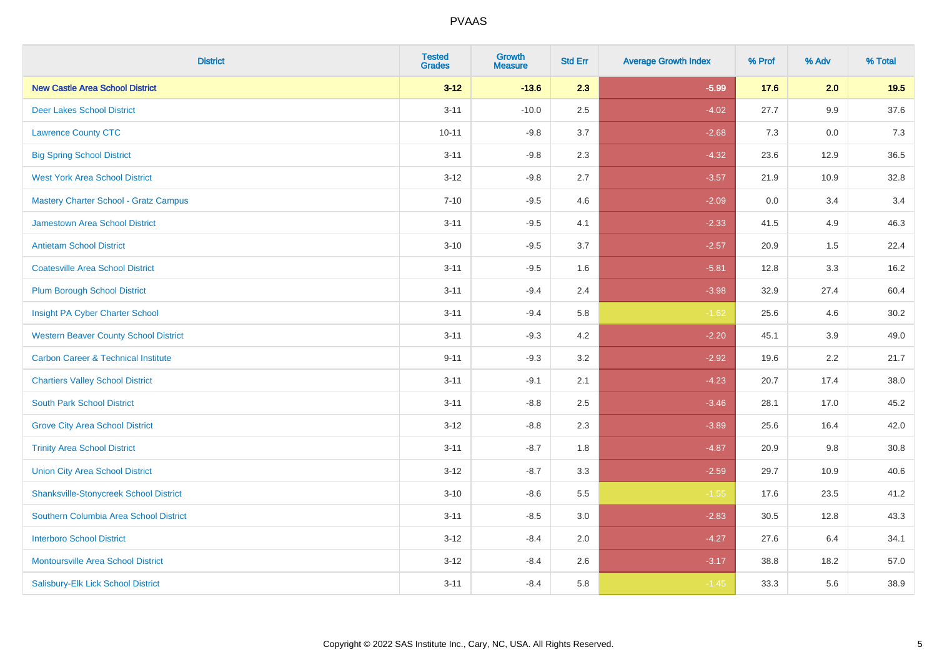| <b>District</b>                                | <b>Tested</b><br><b>Grades</b> | <b>Growth</b><br><b>Measure</b> | <b>Std Err</b> | <b>Average Growth Index</b> | % Prof | % Adv | % Total |
|------------------------------------------------|--------------------------------|---------------------------------|----------------|-----------------------------|--------|-------|---------|
| <b>New Castle Area School District</b>         | $3 - 12$                       | $-13.6$                         | 2.3            | $-5.99$                     | 17.6   | 2.0   | 19.5    |
| <b>Deer Lakes School District</b>              | $3 - 11$                       | $-10.0$                         | 2.5            | $-4.02$                     | 27.7   | 9.9   | 37.6    |
| <b>Lawrence County CTC</b>                     | $10 - 11$                      | $-9.8$                          | 3.7            | $-2.68$                     | 7.3    | 0.0   | 7.3     |
| <b>Big Spring School District</b>              | $3 - 11$                       | $-9.8$                          | 2.3            | $-4.32$                     | 23.6   | 12.9  | 36.5    |
| <b>West York Area School District</b>          | $3 - 12$                       | $-9.8$                          | 2.7            | $-3.57$                     | 21.9   | 10.9  | 32.8    |
| <b>Mastery Charter School - Gratz Campus</b>   | $7 - 10$                       | $-9.5$                          | 4.6            | $-2.09$                     | 0.0    | 3.4   | 3.4     |
| Jamestown Area School District                 | $3 - 11$                       | $-9.5$                          | 4.1            | $-2.33$                     | 41.5   | 4.9   | 46.3    |
| <b>Antietam School District</b>                | $3 - 10$                       | $-9.5$                          | 3.7            | $-2.57$                     | 20.9   | 1.5   | 22.4    |
| <b>Coatesville Area School District</b>        | $3 - 11$                       | $-9.5$                          | 1.6            | $-5.81$                     | 12.8   | 3.3   | 16.2    |
| <b>Plum Borough School District</b>            | $3 - 11$                       | $-9.4$                          | 2.4            | $-3.98$                     | 32.9   | 27.4  | 60.4    |
| Insight PA Cyber Charter School                | $3 - 11$                       | $-9.4$                          | 5.8            | $-1.62$                     | 25.6   | 4.6   | 30.2    |
| <b>Western Beaver County School District</b>   | $3 - 11$                       | $-9.3$                          | 4.2            | $-2.20$                     | 45.1   | 3.9   | 49.0    |
| <b>Carbon Career &amp; Technical Institute</b> | $9 - 11$                       | $-9.3$                          | 3.2            | $-2.92$                     | 19.6   | 2.2   | 21.7    |
| <b>Chartiers Valley School District</b>        | $3 - 11$                       | $-9.1$                          | 2.1            | $-4.23$                     | 20.7   | 17.4  | 38.0    |
| <b>South Park School District</b>              | $3 - 11$                       | $-8.8$                          | 2.5            | $-3.46$                     | 28.1   | 17.0  | 45.2    |
| <b>Grove City Area School District</b>         | $3 - 12$                       | $-8.8$                          | 2.3            | $-3.89$                     | 25.6   | 16.4  | 42.0    |
| <b>Trinity Area School District</b>            | $3 - 11$                       | $-8.7$                          | 1.8            | $-4.87$                     | 20.9   | 9.8   | 30.8    |
| <b>Union City Area School District</b>         | $3 - 12$                       | $-8.7$                          | 3.3            | $-2.59$                     | 29.7   | 10.9  | 40.6    |
| <b>Shanksville-Stonycreek School District</b>  | $3 - 10$                       | $-8.6$                          | 5.5            | $-1.55$                     | 17.6   | 23.5  | 41.2    |
| Southern Columbia Area School District         | $3 - 11$                       | $-8.5$                          | 3.0            | $-2.83$                     | 30.5   | 12.8  | 43.3    |
| <b>Interboro School District</b>               | $3 - 12$                       | $-8.4$                          | 2.0            | $-4.27$                     | 27.6   | 6.4   | 34.1    |
| <b>Montoursville Area School District</b>      | $3 - 12$                       | $-8.4$                          | 2.6            | $-3.17$                     | 38.8   | 18.2  | 57.0    |
| Salisbury-Elk Lick School District             | $3 - 11$                       | $-8.4$                          | 5.8            | $-1.45$                     | 33.3   | 5.6   | 38.9    |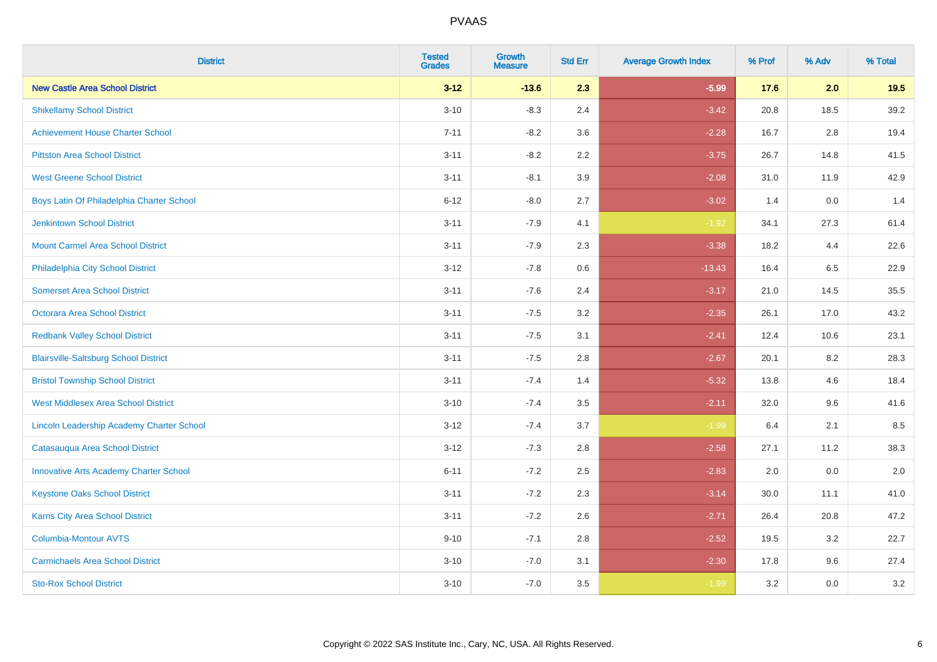| <b>District</b>                               | <b>Tested</b><br><b>Grades</b> | <b>Growth</b><br><b>Measure</b> | <b>Std Err</b> | <b>Average Growth Index</b> | % Prof | % Adv | % Total |
|-----------------------------------------------|--------------------------------|---------------------------------|----------------|-----------------------------|--------|-------|---------|
| <b>New Castle Area School District</b>        | $3 - 12$                       | $-13.6$                         | 2.3            | $-5.99$                     | 17.6   | 2.0   | 19.5    |
| <b>Shikellamy School District</b>             | $3 - 10$                       | $-8.3$                          | 2.4            | $-3.42$                     | 20.8   | 18.5  | 39.2    |
| <b>Achievement House Charter School</b>       | $7 - 11$                       | $-8.2$                          | 3.6            | $-2.28$                     | 16.7   | 2.8   | 19.4    |
| <b>Pittston Area School District</b>          | $3 - 11$                       | $-8.2$                          | 2.2            | $-3.75$                     | 26.7   | 14.8  | 41.5    |
| <b>West Greene School District</b>            | $3 - 11$                       | $-8.1$                          | 3.9            | $-2.08$                     | 31.0   | 11.9  | 42.9    |
| Boys Latin Of Philadelphia Charter School     | $6 - 12$                       | $-8.0$                          | 2.7            | $-3.02$                     | 1.4    | 0.0   | 1.4     |
| <b>Jenkintown School District</b>             | $3 - 11$                       | $-7.9$                          | 4.1            | $-1.92$                     | 34.1   | 27.3  | 61.4    |
| <b>Mount Carmel Area School District</b>      | $3 - 11$                       | $-7.9$                          | 2.3            | $-3.38$                     | 18.2   | 4.4   | 22.6    |
| Philadelphia City School District             | $3 - 12$                       | $-7.8$                          | 0.6            | $-13.43$                    | 16.4   | 6.5   | 22.9    |
| <b>Somerset Area School District</b>          | $3 - 11$                       | $-7.6$                          | 2.4            | $-3.17$                     | 21.0   | 14.5  | 35.5    |
| Octorara Area School District                 | $3 - 11$                       | $-7.5$                          | 3.2            | $-2.35$                     | 26.1   | 17.0  | 43.2    |
| <b>Redbank Valley School District</b>         | $3 - 11$                       | $-7.5$                          | 3.1            | $-2.41$                     | 12.4   | 10.6  | 23.1    |
| <b>Blairsville-Saltsburg School District</b>  | $3 - 11$                       | $-7.5$                          | 2.8            | $-2.67$                     | 20.1   | 8.2   | 28.3    |
| <b>Bristol Township School District</b>       | $3 - 11$                       | $-7.4$                          | 1.4            | $-5.32$                     | 13.8   | 4.6   | 18.4    |
| <b>West Middlesex Area School District</b>    | $3 - 10$                       | $-7.4$                          | 3.5            | $-2.11$                     | 32.0   | 9.6   | 41.6    |
| Lincoln Leadership Academy Charter School     | $3 - 12$                       | $-7.4$                          | 3.7            | $-1.99$                     | 6.4    | 2.1   | 8.5     |
| Catasauqua Area School District               | $3 - 12$                       | $-7.3$                          | 2.8            | $-2.58$                     | 27.1   | 11.2  | 38.3    |
| <b>Innovative Arts Academy Charter School</b> | $6 - 11$                       | $-7.2$                          | 2.5            | $-2.83$                     | 2.0    | 0.0   | 2.0     |
| <b>Keystone Oaks School District</b>          | $3 - 11$                       | $-7.2$                          | 2.3            | $-3.14$                     | 30.0   | 11.1  | 41.0    |
| Karns City Area School District               | $3 - 11$                       | $-7.2$                          | 2.6            | $-2.71$                     | 26.4   | 20.8  | 47.2    |
| <b>Columbia-Montour AVTS</b>                  | $9 - 10$                       | $-7.1$                          | 2.8            | $-2.52$                     | 19.5   | 3.2   | 22.7    |
| <b>Carmichaels Area School District</b>       | $3 - 10$                       | $-7.0$                          | 3.1            | $-2.30$                     | 17.8   | 9.6   | 27.4    |
| <b>Sto-Rox School District</b>                | $3 - 10$                       | $-7.0$                          | 3.5            | $-1.99$                     | 3.2    | 0.0   | 3.2     |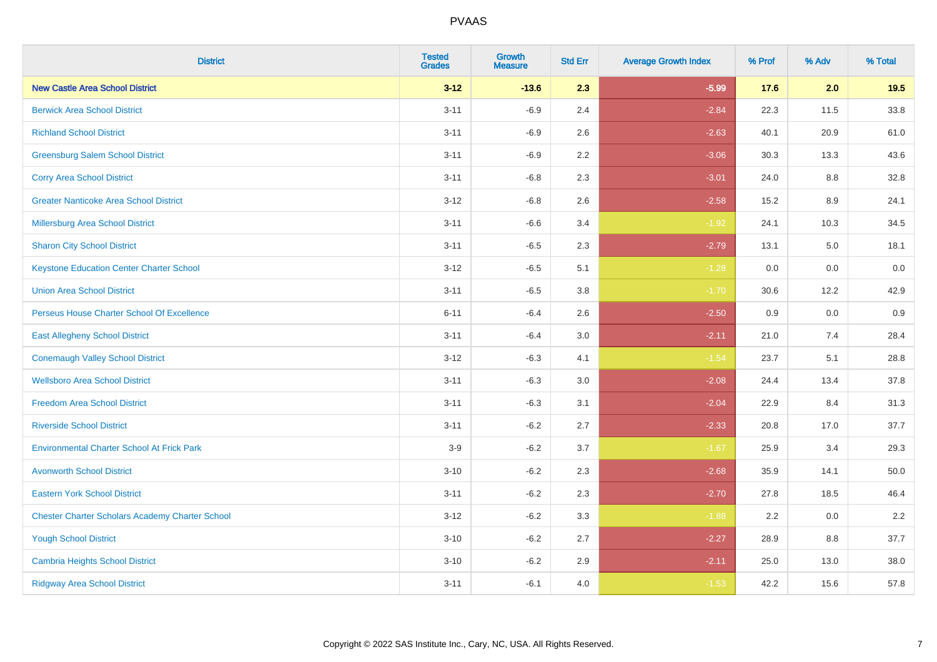| <b>District</b>                                        | <b>Tested</b><br><b>Grades</b> | <b>Growth</b><br><b>Measure</b> | <b>Std Err</b> | <b>Average Growth Index</b> | % Prof | % Adv | % Total |
|--------------------------------------------------------|--------------------------------|---------------------------------|----------------|-----------------------------|--------|-------|---------|
| <b>New Castle Area School District</b>                 | $3 - 12$                       | $-13.6$                         | 2.3            | $-5.99$                     | 17.6   | 2.0   | 19.5    |
| <b>Berwick Area School District</b>                    | $3 - 11$                       | $-6.9$                          | 2.4            | $-2.84$                     | 22.3   | 11.5  | 33.8    |
| <b>Richland School District</b>                        | $3 - 11$                       | $-6.9$                          | 2.6            | $-2.63$                     | 40.1   | 20.9  | 61.0    |
| <b>Greensburg Salem School District</b>                | $3 - 11$                       | $-6.9$                          | 2.2            | $-3.06$                     | 30.3   | 13.3  | 43.6    |
| <b>Corry Area School District</b>                      | $3 - 11$                       | $-6.8$                          | 2.3            | $-3.01$                     | 24.0   | 8.8   | 32.8    |
| <b>Greater Nanticoke Area School District</b>          | $3 - 12$                       | $-6.8$                          | 2.6            | $-2.58$                     | 15.2   | 8.9   | 24.1    |
| <b>Millersburg Area School District</b>                | $3 - 11$                       | $-6.6$                          | 3.4            | $-1.92$                     | 24.1   | 10.3  | 34.5    |
| <b>Sharon City School District</b>                     | $3 - 11$                       | $-6.5$                          | 2.3            | $-2.79$                     | 13.1   | 5.0   | 18.1    |
| <b>Keystone Education Center Charter School</b>        | $3 - 12$                       | $-6.5$                          | 5.1            | $-1.28$                     | 0.0    | 0.0   | 0.0     |
| <b>Union Area School District</b>                      | $3 - 11$                       | $-6.5$                          | 3.8            | $-1.70$                     | 30.6   | 12.2  | 42.9    |
| Perseus House Charter School Of Excellence             | $6 - 11$                       | $-6.4$                          | 2.6            | $-2.50$                     | 0.9    | 0.0   | 0.9     |
| <b>East Allegheny School District</b>                  | $3 - 11$                       | $-6.4$                          | 3.0            | $-2.11$                     | 21.0   | 7.4   | 28.4    |
| <b>Conemaugh Valley School District</b>                | $3 - 12$                       | $-6.3$                          | 4.1            | $-1.54$                     | 23.7   | 5.1   | 28.8    |
| <b>Wellsboro Area School District</b>                  | $3 - 11$                       | $-6.3$                          | 3.0            | $-2.08$                     | 24.4   | 13.4  | 37.8    |
| <b>Freedom Area School District</b>                    | $3 - 11$                       | $-6.3$                          | 3.1            | $-2.04$                     | 22.9   | 8.4   | 31.3    |
| <b>Riverside School District</b>                       | $3 - 11$                       | $-6.2$                          | 2.7            | $-2.33$                     | 20.8   | 17.0  | 37.7    |
| <b>Environmental Charter School At Frick Park</b>      | $3-9$                          | $-6.2$                          | 3.7            | $-1.67$                     | 25.9   | 3.4   | 29.3    |
| <b>Avonworth School District</b>                       | $3 - 10$                       | $-6.2$                          | 2.3            | $-2.68$                     | 35.9   | 14.1  | 50.0    |
| <b>Eastern York School District</b>                    | $3 - 11$                       | $-6.2$                          | 2.3            | $-2.70$                     | 27.8   | 18.5  | 46.4    |
| <b>Chester Charter Scholars Academy Charter School</b> | $3 - 12$                       | $-6.2$                          | 3.3            | $-1.88$                     | 2.2    | 0.0   | 2.2     |
| <b>Yough School District</b>                           | $3 - 10$                       | $-6.2$                          | 2.7            | $-2.27$                     | 28.9   | 8.8   | 37.7    |
| <b>Cambria Heights School District</b>                 | $3 - 10$                       | $-6.2$                          | 2.9            | $-2.11$                     | 25.0   | 13.0  | 38.0    |
| <b>Ridgway Area School District</b>                    | $3 - 11$                       | $-6.1$                          | 4.0            | $-1.53$                     | 42.2   | 15.6  | 57.8    |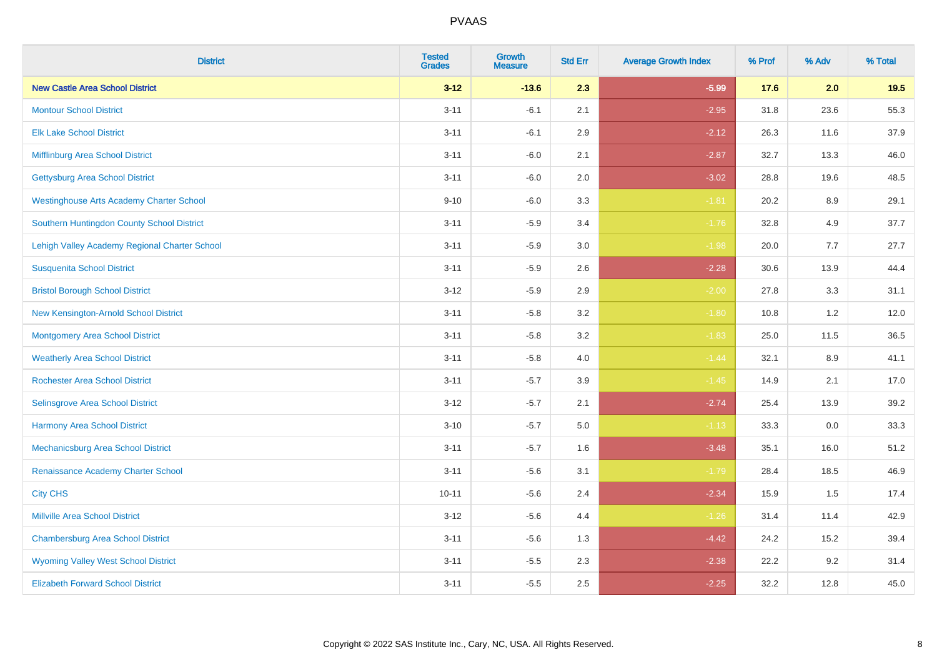| <b>District</b>                                 | <b>Tested</b><br><b>Grades</b> | <b>Growth</b><br><b>Measure</b> | <b>Std Err</b> | <b>Average Growth Index</b> | % Prof | % Adv   | % Total |
|-------------------------------------------------|--------------------------------|---------------------------------|----------------|-----------------------------|--------|---------|---------|
| <b>New Castle Area School District</b>          | $3 - 12$                       | $-13.6$                         | 2.3            | $-5.99$                     | 17.6   | 2.0     | 19.5    |
| <b>Montour School District</b>                  | $3 - 11$                       | $-6.1$                          | 2.1            | $-2.95$                     | 31.8   | 23.6    | 55.3    |
| <b>Elk Lake School District</b>                 | $3 - 11$                       | $-6.1$                          | 2.9            | $-2.12$                     | 26.3   | 11.6    | 37.9    |
| Mifflinburg Area School District                | $3 - 11$                       | $-6.0$                          | 2.1            | $-2.87$                     | 32.7   | 13.3    | 46.0    |
| <b>Gettysburg Area School District</b>          | $3 - 11$                       | $-6.0$                          | 2.0            | $-3.02$                     | 28.8   | 19.6    | 48.5    |
| <b>Westinghouse Arts Academy Charter School</b> | $9 - 10$                       | $-6.0$                          | 3.3            | $-1.81$                     | 20.2   | 8.9     | 29.1    |
| Southern Huntingdon County School District      | $3 - 11$                       | $-5.9$                          | 3.4            | $-1.76$                     | 32.8   | 4.9     | 37.7    |
| Lehigh Valley Academy Regional Charter School   | $3 - 11$                       | $-5.9$                          | 3.0            | $-1.98$                     | 20.0   | 7.7     | 27.7    |
| <b>Susquenita School District</b>               | $3 - 11$                       | $-5.9$                          | 2.6            | $-2.28$                     | 30.6   | 13.9    | 44.4    |
| <b>Bristol Borough School District</b>          | $3 - 12$                       | $-5.9$                          | 2.9            | $-2.00$                     | 27.8   | 3.3     | 31.1    |
| New Kensington-Arnold School District           | $3 - 11$                       | $-5.8$                          | 3.2            | $-1.80$                     | 10.8   | 1.2     | 12.0    |
| <b>Montgomery Area School District</b>          | $3 - 11$                       | $-5.8$                          | 3.2            | $-1.83$                     | 25.0   | 11.5    | 36.5    |
| <b>Weatherly Area School District</b>           | $3 - 11$                       | $-5.8$                          | 4.0            | $-1.44$                     | 32.1   | $8.9\,$ | 41.1    |
| <b>Rochester Area School District</b>           | $3 - 11$                       | $-5.7$                          | 3.9            | $-1.45$                     | 14.9   | 2.1     | 17.0    |
| Selinsgrove Area School District                | $3 - 12$                       | $-5.7$                          | 2.1            | $-2.74$                     | 25.4   | 13.9    | 39.2    |
| Harmony Area School District                    | $3 - 10$                       | $-5.7$                          | $5.0\,$        | $-1.13$                     | 33.3   | $0.0\,$ | 33.3    |
| Mechanicsburg Area School District              | $3 - 11$                       | $-5.7$                          | 1.6            | $-3.48$                     | 35.1   | 16.0    | 51.2    |
| Renaissance Academy Charter School              | $3 - 11$                       | $-5.6$                          | 3.1            | $-1.79$                     | 28.4   | 18.5    | 46.9    |
| <b>City CHS</b>                                 | $10 - 11$                      | $-5.6$                          | 2.4            | $-2.34$                     | 15.9   | 1.5     | 17.4    |
| <b>Millville Area School District</b>           | $3 - 12$                       | $-5.6$                          | 4.4            | $-1.26$                     | 31.4   | 11.4    | 42.9    |
| <b>Chambersburg Area School District</b>        | $3 - 11$                       | $-5.6$                          | 1.3            | $-4.42$                     | 24.2   | 15.2    | 39.4    |
| <b>Wyoming Valley West School District</b>      | $3 - 11$                       | $-5.5$                          | 2.3            | $-2.38$                     | 22.2   | 9.2     | 31.4    |
| <b>Elizabeth Forward School District</b>        | $3 - 11$                       | $-5.5$                          | 2.5            | $-2.25$                     | 32.2   | 12.8    | 45.0    |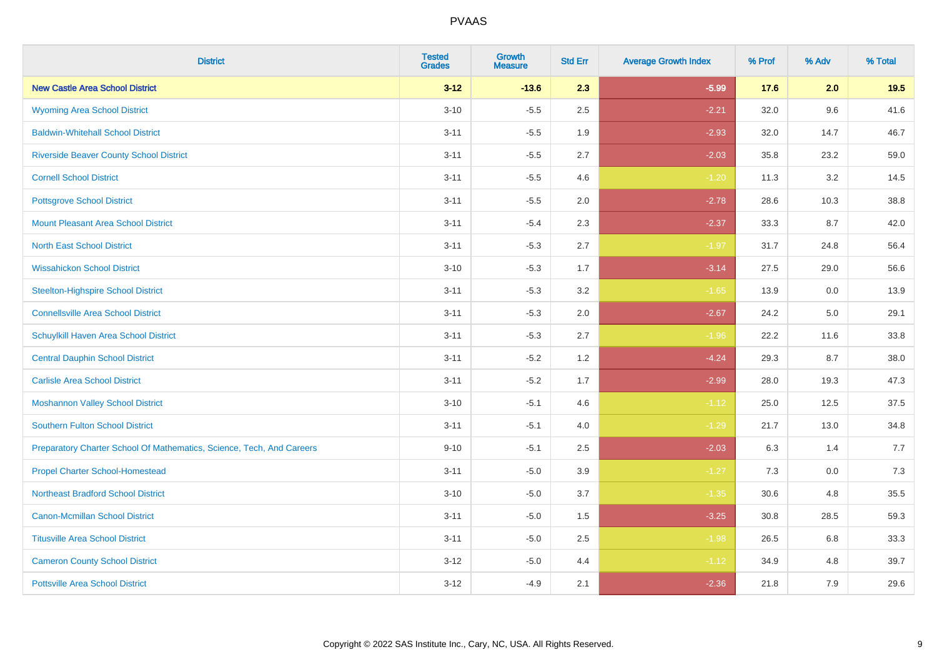| <b>District</b>                                                       | <b>Tested</b><br><b>Grades</b> | Growth<br><b>Measure</b> | <b>Std Err</b> | <b>Average Growth Index</b> | % Prof | % Adv | % Total |
|-----------------------------------------------------------------------|--------------------------------|--------------------------|----------------|-----------------------------|--------|-------|---------|
| <b>New Castle Area School District</b>                                | $3 - 12$                       | $-13.6$                  | 2.3            | $-5.99$                     | 17.6   | 2.0   | 19.5    |
| <b>Wyoming Area School District</b>                                   | $3 - 10$                       | $-5.5$                   | 2.5            | $-2.21$                     | 32.0   | 9.6   | 41.6    |
| <b>Baldwin-Whitehall School District</b>                              | $3 - 11$                       | $-5.5$                   | 1.9            | $-2.93$                     | 32.0   | 14.7  | 46.7    |
| <b>Riverside Beaver County School District</b>                        | $3 - 11$                       | $-5.5$                   | 2.7            | $-2.03$                     | 35.8   | 23.2  | 59.0    |
| <b>Cornell School District</b>                                        | $3 - 11$                       | $-5.5$                   | 4.6            | $-1.20$                     | 11.3   | 3.2   | 14.5    |
| <b>Pottsgrove School District</b>                                     | $3 - 11$                       | $-5.5$                   | 2.0            | $-2.78$                     | 28.6   | 10.3  | 38.8    |
| <b>Mount Pleasant Area School District</b>                            | $3 - 11$                       | $-5.4$                   | 2.3            | $-2.37$                     | 33.3   | 8.7   | 42.0    |
| <b>North East School District</b>                                     | $3 - 11$                       | $-5.3$                   | 2.7            | $-1.97$                     | 31.7   | 24.8  | 56.4    |
| <b>Wissahickon School District</b>                                    | $3 - 10$                       | $-5.3$                   | 1.7            | $-3.14$                     | 27.5   | 29.0  | 56.6    |
| <b>Steelton-Highspire School District</b>                             | $3 - 11$                       | $-5.3$                   | 3.2            | $-1.65$                     | 13.9   | 0.0   | 13.9    |
| <b>Connellsville Area School District</b>                             | $3 - 11$                       | $-5.3$                   | 2.0            | $-2.67$                     | 24.2   | 5.0   | 29.1    |
| Schuylkill Haven Area School District                                 | $3 - 11$                       | $-5.3$                   | 2.7            | $-1.96$                     | 22.2   | 11.6  | 33.8    |
| <b>Central Dauphin School District</b>                                | $3 - 11$                       | $-5.2$                   | 1.2            | $-4.24$                     | 29.3   | 8.7   | 38.0    |
| <b>Carlisle Area School District</b>                                  | $3 - 11$                       | $-5.2$                   | 1.7            | $-2.99$                     | 28.0   | 19.3  | 47.3    |
| <b>Moshannon Valley School District</b>                               | $3 - 10$                       | $-5.1$                   | 4.6            | $-1.12$                     | 25.0   | 12.5  | 37.5    |
| <b>Southern Fulton School District</b>                                | $3 - 11$                       | $-5.1$                   | 4.0            | $-1.29$                     | 21.7   | 13.0  | 34.8    |
| Preparatory Charter School Of Mathematics, Science, Tech, And Careers | $9 - 10$                       | $-5.1$                   | 2.5            | $-2.03$                     | 6.3    | 1.4   | 7.7     |
| <b>Propel Charter School-Homestead</b>                                | $3 - 11$                       | $-5.0$                   | 3.9            | $-1.27$                     | 7.3    | 0.0   | 7.3     |
| <b>Northeast Bradford School District</b>                             | $3 - 10$                       | $-5.0$                   | 3.7            | $-1.35$                     | 30.6   | 4.8   | 35.5    |
| <b>Canon-Mcmillan School District</b>                                 | $3 - 11$                       | $-5.0$                   | 1.5            | $-3.25$                     | 30.8   | 28.5  | 59.3    |
| <b>Titusville Area School District</b>                                | $3 - 11$                       | $-5.0$                   | 2.5            | $-1.98$                     | 26.5   | 6.8   | 33.3    |
| <b>Cameron County School District</b>                                 | $3 - 12$                       | $-5.0$                   | 4.4            | $-1.12$                     | 34.9   | 4.8   | 39.7    |
| <b>Pottsville Area School District</b>                                | $3 - 12$                       | $-4.9$                   | 2.1            | $-2.36$                     | 21.8   | 7.9   | 29.6    |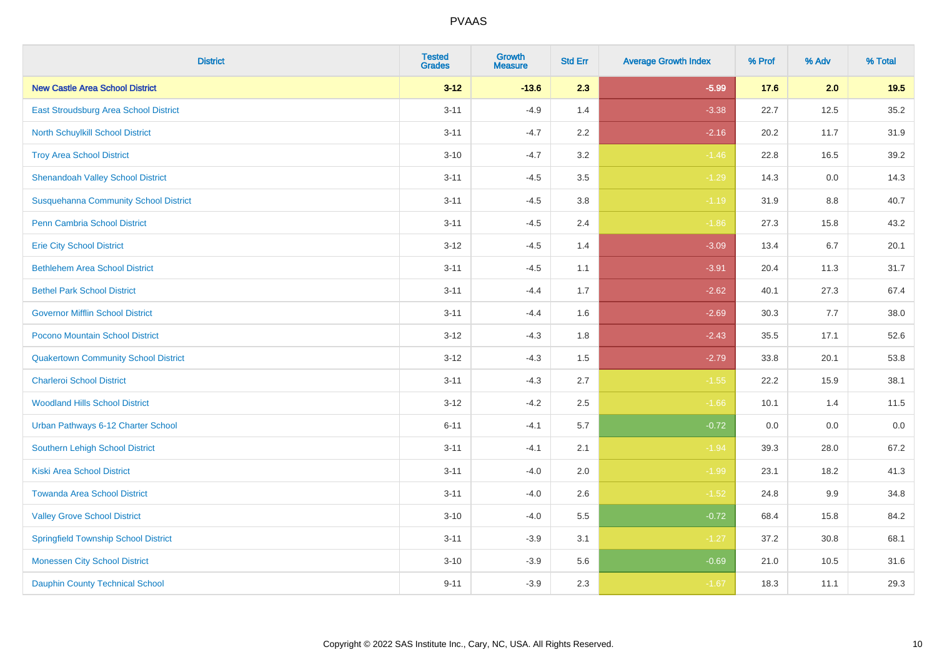| <b>District</b>                              | <b>Tested</b><br><b>Grades</b> | <b>Growth</b><br><b>Measure</b> | <b>Std Err</b> | <b>Average Growth Index</b> | % Prof | % Adv   | % Total |
|----------------------------------------------|--------------------------------|---------------------------------|----------------|-----------------------------|--------|---------|---------|
| <b>New Castle Area School District</b>       | $3 - 12$                       | $-13.6$                         | 2.3            | $-5.99$                     | 17.6   | 2.0     | 19.5    |
| East Stroudsburg Area School District        | $3 - 11$                       | $-4.9$                          | 1.4            | $-3.38$                     | 22.7   | 12.5    | 35.2    |
| <b>North Schuylkill School District</b>      | $3 - 11$                       | $-4.7$                          | 2.2            | $-2.16$                     | 20.2   | 11.7    | 31.9    |
| <b>Troy Area School District</b>             | $3 - 10$                       | $-4.7$                          | 3.2            | $-1.46$                     | 22.8   | 16.5    | 39.2    |
| <b>Shenandoah Valley School District</b>     | $3 - 11$                       | $-4.5$                          | 3.5            | $-1.29$                     | 14.3   | 0.0     | 14.3    |
| <b>Susquehanna Community School District</b> | $3 - 11$                       | $-4.5$                          | 3.8            | $-1.19$                     | 31.9   | 8.8     | 40.7    |
| <b>Penn Cambria School District</b>          | $3 - 11$                       | $-4.5$                          | 2.4            | $-1.86$                     | 27.3   | 15.8    | 43.2    |
| <b>Erie City School District</b>             | $3 - 12$                       | $-4.5$                          | 1.4            | $-3.09$                     | 13.4   | 6.7     | 20.1    |
| <b>Bethlehem Area School District</b>        | $3 - 11$                       | $-4.5$                          | 1.1            | $-3.91$                     | 20.4   | 11.3    | 31.7    |
| <b>Bethel Park School District</b>           | $3 - 11$                       | $-4.4$                          | 1.7            | $-2.62$                     | 40.1   | 27.3    | 67.4    |
| <b>Governor Mifflin School District</b>      | $3 - 11$                       | $-4.4$                          | 1.6            | $-2.69$                     | 30.3   | 7.7     | 38.0    |
| Pocono Mountain School District              | $3 - 12$                       | $-4.3$                          | 1.8            | $-2.43$                     | 35.5   | 17.1    | 52.6    |
| <b>Quakertown Community School District</b>  | $3 - 12$                       | $-4.3$                          | $1.5\,$        | $-2.79$                     | 33.8   | 20.1    | 53.8    |
| <b>Charleroi School District</b>             | $3 - 11$                       | $-4.3$                          | 2.7            | $-1.55$                     | 22.2   | 15.9    | 38.1    |
| <b>Woodland Hills School District</b>        | $3 - 12$                       | $-4.2$                          | 2.5            | $-1.66$                     | 10.1   | 1.4     | 11.5    |
| Urban Pathways 6-12 Charter School           | $6 - 11$                       | $-4.1$                          | 5.7            | $-0.72$                     | 0.0    | $0.0\,$ | $0.0\,$ |
| <b>Southern Lehigh School District</b>       | $3 - 11$                       | $-4.1$                          | 2.1            | $-1.94$                     | 39.3   | 28.0    | 67.2    |
| <b>Kiski Area School District</b>            | $3 - 11$                       | $-4.0$                          | 2.0            | $-1.99$                     | 23.1   | 18.2    | 41.3    |
| <b>Towanda Area School District</b>          | $3 - 11$                       | $-4.0$                          | 2.6            | $-1.52$                     | 24.8   | 9.9     | 34.8    |
| <b>Valley Grove School District</b>          | $3 - 10$                       | $-4.0$                          | 5.5            | $-0.72$                     | 68.4   | 15.8    | 84.2    |
| <b>Springfield Township School District</b>  | $3 - 11$                       | $-3.9$                          | 3.1            | $-1.27$                     | 37.2   | 30.8    | 68.1    |
| <b>Monessen City School District</b>         | $3 - 10$                       | $-3.9$                          | 5.6            | $-0.69$                     | 21.0   | 10.5    | 31.6    |
| <b>Dauphin County Technical School</b>       | $9 - 11$                       | $-3.9$                          | 2.3            | $-1.67$                     | 18.3   | 11.1    | 29.3    |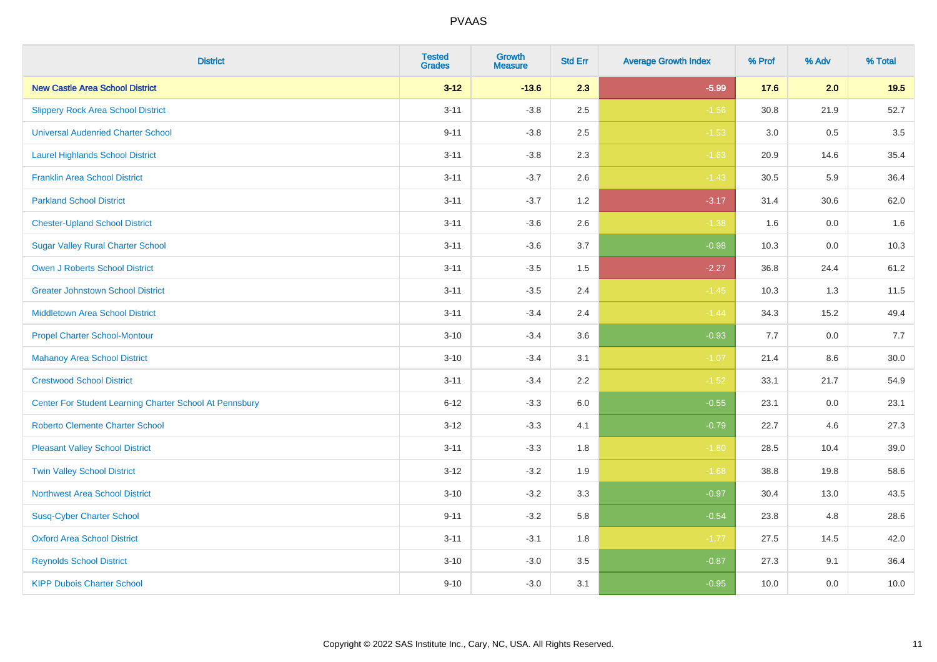| <b>District</b>                                         | <b>Tested</b><br><b>Grades</b> | <b>Growth</b><br><b>Measure</b> | <b>Std Err</b> | <b>Average Growth Index</b> | % Prof | % Adv   | % Total |
|---------------------------------------------------------|--------------------------------|---------------------------------|----------------|-----------------------------|--------|---------|---------|
| <b>New Castle Area School District</b>                  | $3 - 12$                       | $-13.6$                         | 2.3            | $-5.99$                     | 17.6   | 2.0     | 19.5    |
| <b>Slippery Rock Area School District</b>               | $3 - 11$                       | $-3.8$                          | 2.5            | $-1.56$                     | 30.8   | 21.9    | 52.7    |
| <b>Universal Audenried Charter School</b>               | $9 - 11$                       | $-3.8$                          | 2.5            | $-1.53$                     | 3.0    | 0.5     | 3.5     |
| <b>Laurel Highlands School District</b>                 | $3 - 11$                       | $-3.8$                          | 2.3            | $-1.63$                     | 20.9   | 14.6    | 35.4    |
| <b>Franklin Area School District</b>                    | $3 - 11$                       | $-3.7$                          | 2.6            | $-1.43$                     | 30.5   | 5.9     | 36.4    |
| <b>Parkland School District</b>                         | $3 - 11$                       | $-3.7$                          | 1.2            | $-3.17$                     | 31.4   | 30.6    | 62.0    |
| <b>Chester-Upland School District</b>                   | $3 - 11$                       | $-3.6$                          | 2.6            | $-1.38$                     | 1.6    | $0.0\,$ | 1.6     |
| <b>Sugar Valley Rural Charter School</b>                | $3 - 11$                       | $-3.6$                          | 3.7            | $-0.98$                     | 10.3   | 0.0     | 10.3    |
| <b>Owen J Roberts School District</b>                   | $3 - 11$                       | $-3.5$                          | 1.5            | $-2.27$                     | 36.8   | 24.4    | 61.2    |
| <b>Greater Johnstown School District</b>                | $3 - 11$                       | $-3.5$                          | 2.4            | $-1.45$                     | 10.3   | 1.3     | 11.5    |
| <b>Middletown Area School District</b>                  | $3 - 11$                       | $-3.4$                          | 2.4            | $-1.44$                     | 34.3   | 15.2    | 49.4    |
| <b>Propel Charter School-Montour</b>                    | $3 - 10$                       | $-3.4$                          | 3.6            | $-0.93$                     | 7.7    | 0.0     | 7.7     |
| <b>Mahanoy Area School District</b>                     | $3 - 10$                       | $-3.4$                          | 3.1            | $-1.07$                     | 21.4   | $8.6\,$ | 30.0    |
| <b>Crestwood School District</b>                        | $3 - 11$                       | $-3.4$                          | 2.2            | $-1.52$                     | 33.1   | 21.7    | 54.9    |
| Center For Student Learning Charter School At Pennsbury | $6 - 12$                       | $-3.3$                          | 6.0            | $-0.55$                     | 23.1   | 0.0     | 23.1    |
| <b>Roberto Clemente Charter School</b>                  | $3 - 12$                       | $-3.3$                          | 4.1            | $-0.79$                     | 22.7   | 4.6     | 27.3    |
| <b>Pleasant Valley School District</b>                  | $3 - 11$                       | $-3.3$                          | 1.8            | $-1.80$                     | 28.5   | 10.4    | 39.0    |
| <b>Twin Valley School District</b>                      | $3 - 12$                       | $-3.2$                          | 1.9            | $-1.68$                     | 38.8   | 19.8    | 58.6    |
| <b>Northwest Area School District</b>                   | $3 - 10$                       | $-3.2$                          | 3.3            | $-0.97$                     | 30.4   | 13.0    | 43.5    |
| <b>Susq-Cyber Charter School</b>                        | $9 - 11$                       | $-3.2$                          | 5.8            | $-0.54$                     | 23.8   | 4.8     | 28.6    |
| <b>Oxford Area School District</b>                      | $3 - 11$                       | $-3.1$                          | 1.8            | $-1.77$                     | 27.5   | 14.5    | 42.0    |
| <b>Reynolds School District</b>                         | $3 - 10$                       | $-3.0$                          | 3.5            | $-0.87$                     | 27.3   | 9.1     | 36.4    |
| <b>KIPP Dubois Charter School</b>                       | $9 - 10$                       | $-3.0$                          | 3.1            | $-0.95$                     | 10.0   | 0.0     | 10.0    |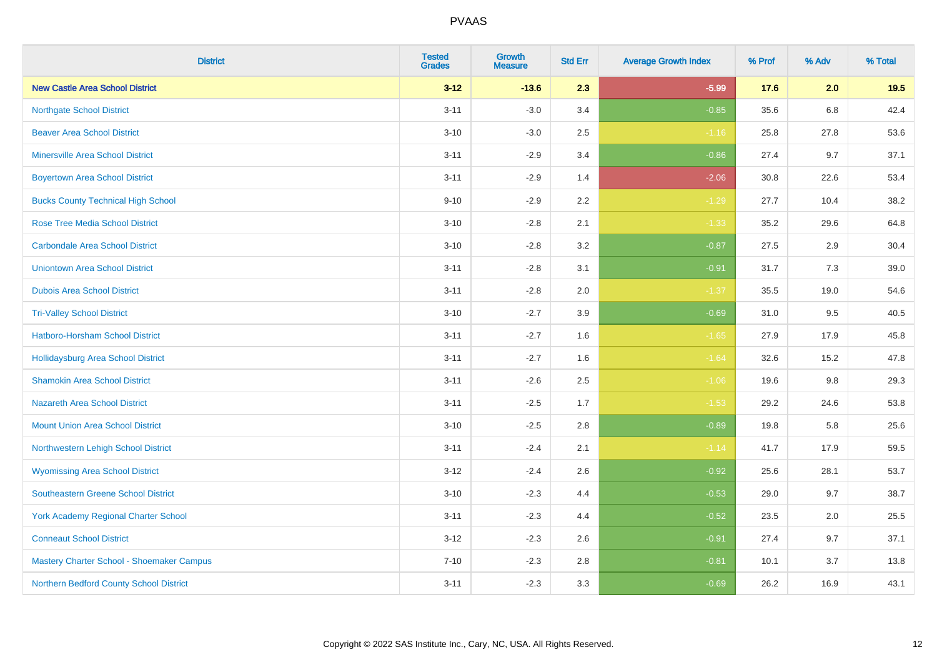| <b>District</b>                             | <b>Tested</b><br><b>Grades</b> | <b>Growth</b><br><b>Measure</b> | <b>Std Err</b> | <b>Average Growth Index</b> | % Prof | % Adv | % Total |
|---------------------------------------------|--------------------------------|---------------------------------|----------------|-----------------------------|--------|-------|---------|
| <b>New Castle Area School District</b>      | $3 - 12$                       | $-13.6$                         | 2.3            | $-5.99$                     | 17.6   | 2.0   | 19.5    |
| <b>Northgate School District</b>            | $3 - 11$                       | $-3.0$                          | 3.4            | $-0.85$                     | 35.6   | 6.8   | 42.4    |
| <b>Beaver Area School District</b>          | $3 - 10$                       | $-3.0$                          | 2.5            | $-1.16$                     | 25.8   | 27.8  | 53.6    |
| <b>Minersville Area School District</b>     | $3 - 11$                       | $-2.9$                          | 3.4            | $-0.86$                     | 27.4   | 9.7   | 37.1    |
| <b>Boyertown Area School District</b>       | $3 - 11$                       | $-2.9$                          | 1.4            | $-2.06$                     | 30.8   | 22.6  | 53.4    |
| <b>Bucks County Technical High School</b>   | $9 - 10$                       | $-2.9$                          | 2.2            | $-1.29$                     | 27.7   | 10.4  | 38.2    |
| <b>Rose Tree Media School District</b>      | $3 - 10$                       | $-2.8$                          | 2.1            | $-1.33$                     | 35.2   | 29.6  | 64.8    |
| <b>Carbondale Area School District</b>      | $3 - 10$                       | $-2.8$                          | 3.2            | $-0.87$                     | 27.5   | 2.9   | 30.4    |
| <b>Uniontown Area School District</b>       | $3 - 11$                       | $-2.8$                          | 3.1            | $-0.91$                     | 31.7   | 7.3   | 39.0    |
| <b>Dubois Area School District</b>          | $3 - 11$                       | $-2.8$                          | 2.0            | $-1.37$                     | 35.5   | 19.0  | 54.6    |
| <b>Tri-Valley School District</b>           | $3 - 10$                       | $-2.7$                          | 3.9            | $-0.69$                     | 31.0   | 9.5   | 40.5    |
| Hatboro-Horsham School District             | $3 - 11$                       | $-2.7$                          | 1.6            | $-1.65$                     | 27.9   | 17.9  | 45.8    |
| Hollidaysburg Area School District          | $3 - 11$                       | $-2.7$                          | 1.6            | $-1.64$                     | 32.6   | 15.2  | 47.8    |
| <b>Shamokin Area School District</b>        | $3 - 11$                       | $-2.6$                          | 2.5            | $-1.06$                     | 19.6   | 9.8   | 29.3    |
| <b>Nazareth Area School District</b>        | $3 - 11$                       | $-2.5$                          | 1.7            | $-1.53$                     | 29.2   | 24.6  | 53.8    |
| <b>Mount Union Area School District</b>     | $3 - 10$                       | $-2.5$                          | 2.8            | $-0.89$                     | 19.8   | 5.8   | 25.6    |
| Northwestern Lehigh School District         | $3 - 11$                       | $-2.4$                          | 2.1            | $-1.14$                     | 41.7   | 17.9  | 59.5    |
| <b>Wyomissing Area School District</b>      | $3-12$                         | $-2.4$                          | 2.6            | $-0.92$                     | 25.6   | 28.1  | 53.7    |
| <b>Southeastern Greene School District</b>  | $3 - 10$                       | $-2.3$                          | 4.4            | $-0.53$                     | 29.0   | 9.7   | 38.7    |
| <b>York Academy Regional Charter School</b> | $3 - 11$                       | $-2.3$                          | 4.4            | $-0.52$                     | 23.5   | 2.0   | 25.5    |
| <b>Conneaut School District</b>             | $3 - 12$                       | $-2.3$                          | 2.6            | $-0.91$                     | 27.4   | 9.7   | 37.1    |
| Mastery Charter School - Shoemaker Campus   | $7 - 10$                       | $-2.3$                          | 2.8            | $-0.81$                     | 10.1   | 3.7   | 13.8    |
| Northern Bedford County School District     | $3 - 11$                       | $-2.3$                          | 3.3            | $-0.69$                     | 26.2   | 16.9  | 43.1    |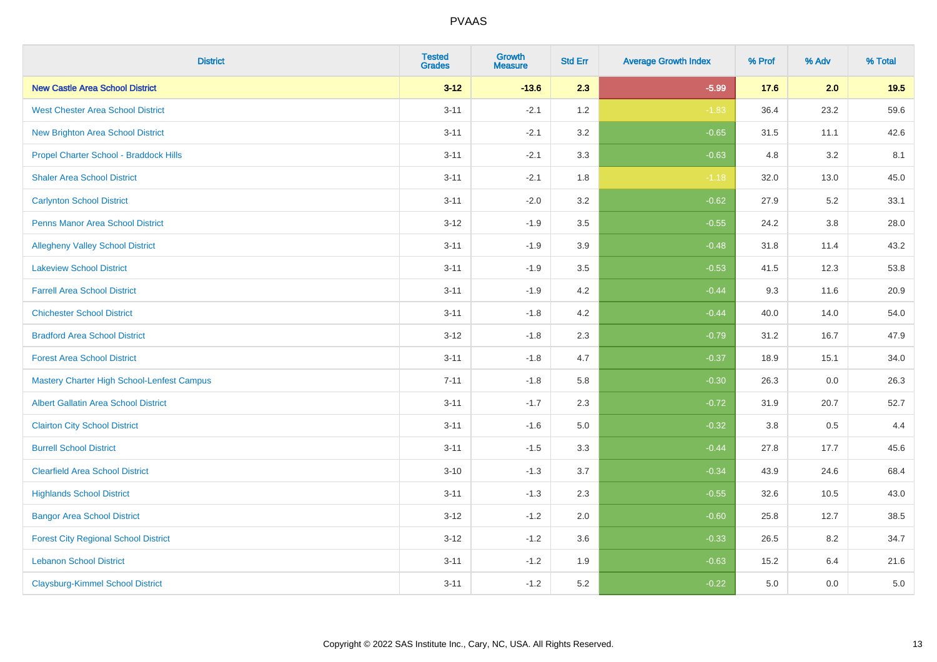| <b>District</b>                                   | <b>Tested</b><br><b>Grades</b> | Growth<br><b>Measure</b> | <b>Std Err</b> | <b>Average Growth Index</b> | % Prof | % Adv   | % Total |
|---------------------------------------------------|--------------------------------|--------------------------|----------------|-----------------------------|--------|---------|---------|
| <b>New Castle Area School District</b>            | $3 - 12$                       | $-13.6$                  | 2.3            | $-5.99$                     | 17.6   | 2.0     | 19.5    |
| <b>West Chester Area School District</b>          | $3 - 11$                       | $-2.1$                   | 1.2            | $-1.83$                     | 36.4   | 23.2    | 59.6    |
| New Brighton Area School District                 | $3 - 11$                       | $-2.1$                   | 3.2            | $-0.65$                     | 31.5   | 11.1    | 42.6    |
| Propel Charter School - Braddock Hills            | $3 - 11$                       | $-2.1$                   | 3.3            | $-0.63$                     | 4.8    | 3.2     | 8.1     |
| <b>Shaler Area School District</b>                | $3 - 11$                       | $-2.1$                   | 1.8            | $-1.18$                     | 32.0   | 13.0    | 45.0    |
| <b>Carlynton School District</b>                  | $3 - 11$                       | $-2.0$                   | 3.2            | $-0.62$                     | 27.9   | 5.2     | 33.1    |
| <b>Penns Manor Area School District</b>           | $3 - 12$                       | $-1.9$                   | 3.5            | $-0.55$                     | 24.2   | $3.8\,$ | 28.0    |
| <b>Allegheny Valley School District</b>           | $3 - 11$                       | $-1.9$                   | 3.9            | $-0.48$                     | 31.8   | 11.4    | 43.2    |
| <b>Lakeview School District</b>                   | $3 - 11$                       | $-1.9$                   | 3.5            | $-0.53$                     | 41.5   | 12.3    | 53.8    |
| <b>Farrell Area School District</b>               | $3 - 11$                       | $-1.9$                   | 4.2            | $-0.44$                     | 9.3    | 11.6    | 20.9    |
| <b>Chichester School District</b>                 | $3 - 11$                       | $-1.8$                   | 4.2            | $-0.44$                     | 40.0   | 14.0    | 54.0    |
| <b>Bradford Area School District</b>              | $3 - 12$                       | $-1.8$                   | 2.3            | $-0.79$                     | 31.2   | 16.7    | 47.9    |
| <b>Forest Area School District</b>                | $3 - 11$                       | $-1.8$                   | 4.7            | $-0.37$                     | 18.9   | 15.1    | 34.0    |
| <b>Mastery Charter High School-Lenfest Campus</b> | $7 - 11$                       | $-1.8$                   | 5.8            | $-0.30$                     | 26.3   | 0.0     | 26.3    |
| <b>Albert Gallatin Area School District</b>       | $3 - 11$                       | $-1.7$                   | 2.3            | $-0.72$                     | 31.9   | 20.7    | 52.7    |
| <b>Clairton City School District</b>              | $3 - 11$                       | $-1.6$                   | 5.0            | $-0.32$                     | 3.8    | 0.5     | 4.4     |
| <b>Burrell School District</b>                    | $3 - 11$                       | $-1.5$                   | 3.3            | $-0.44$                     | 27.8   | 17.7    | 45.6    |
| <b>Clearfield Area School District</b>            | $3 - 10$                       | $-1.3$                   | 3.7            | $-0.34$                     | 43.9   | 24.6    | 68.4    |
| <b>Highlands School District</b>                  | $3 - 11$                       | $-1.3$                   | 2.3            | $-0.55$                     | 32.6   | 10.5    | 43.0    |
| <b>Bangor Area School District</b>                | $3 - 12$                       | $-1.2$                   | 2.0            | $-0.60$                     | 25.8   | 12.7    | 38.5    |
| <b>Forest City Regional School District</b>       | $3 - 12$                       | $-1.2$                   | 3.6            | $-0.33$                     | 26.5   | 8.2     | 34.7    |
| <b>Lebanon School District</b>                    | $3 - 11$                       | $-1.2$                   | 1.9            | $-0.63$                     | 15.2   | 6.4     | 21.6    |
| <b>Claysburg-Kimmel School District</b>           | $3 - 11$                       | $-1.2$                   | 5.2            | $-0.22$                     | 5.0    | 0.0     | 5.0     |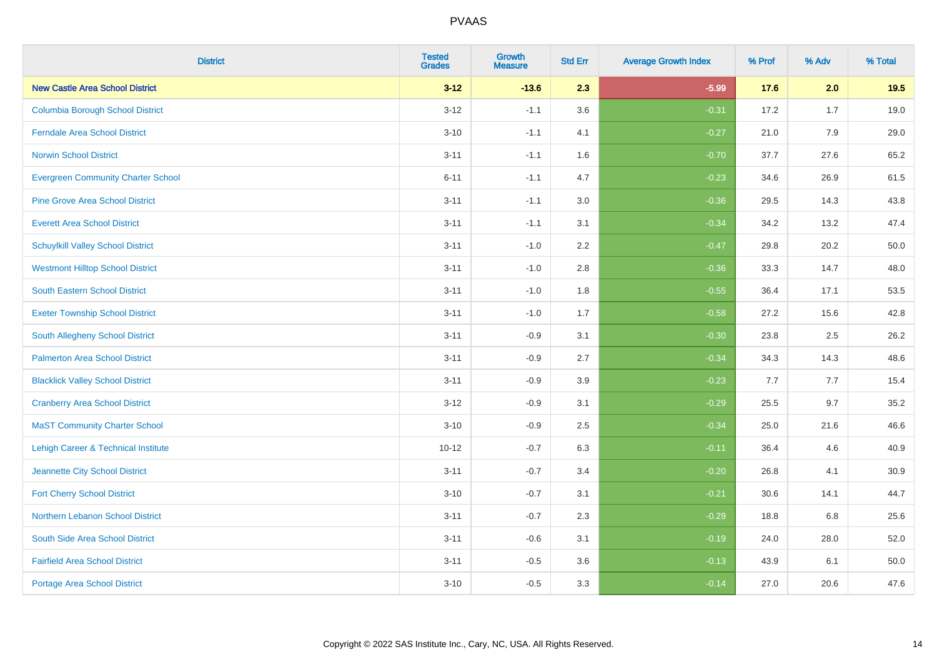| <b>District</b>                                | <b>Tested</b><br><b>Grades</b> | Growth<br><b>Measure</b> | <b>Std Err</b> | <b>Average Growth Index</b> | % Prof | % Adv | % Total |
|------------------------------------------------|--------------------------------|--------------------------|----------------|-----------------------------|--------|-------|---------|
| <b>New Castle Area School District</b>         | $3 - 12$                       | $-13.6$                  | 2.3            | $-5.99$                     | 17.6   | 2.0   | 19.5    |
| <b>Columbia Borough School District</b>        | $3 - 12$                       | $-1.1$                   | 3.6            | $-0.31$                     | 17.2   | 1.7   | 19.0    |
| <b>Ferndale Area School District</b>           | $3 - 10$                       | $-1.1$                   | 4.1            | $-0.27$                     | 21.0   | 7.9   | 29.0    |
| <b>Norwin School District</b>                  | $3 - 11$                       | $-1.1$                   | 1.6            | $-0.70$                     | 37.7   | 27.6  | 65.2    |
| <b>Evergreen Community Charter School</b>      | $6 - 11$                       | $-1.1$                   | 4.7            | $-0.23$                     | 34.6   | 26.9  | 61.5    |
| <b>Pine Grove Area School District</b>         | $3 - 11$                       | $-1.1$                   | 3.0            | $-0.36$                     | 29.5   | 14.3  | 43.8    |
| <b>Everett Area School District</b>            | $3 - 11$                       | $-1.1$                   | 3.1            | $-0.34$                     | 34.2   | 13.2  | 47.4    |
| <b>Schuylkill Valley School District</b>       | $3 - 11$                       | $-1.0$                   | 2.2            | $-0.47$                     | 29.8   | 20.2  | 50.0    |
| <b>Westmont Hilltop School District</b>        | $3 - 11$                       | $-1.0$                   | 2.8            | $-0.36$                     | 33.3   | 14.7  | 48.0    |
| <b>South Eastern School District</b>           | $3 - 11$                       | $-1.0$                   | 1.8            | $-0.55$                     | 36.4   | 17.1  | 53.5    |
| <b>Exeter Township School District</b>         | $3 - 11$                       | $-1.0$                   | 1.7            | $-0.58$                     | 27.2   | 15.6  | 42.8    |
| South Allegheny School District                | $3 - 11$                       | $-0.9$                   | 3.1            | $-0.30$                     | 23.8   | 2.5   | 26.2    |
| <b>Palmerton Area School District</b>          | $3 - 11$                       | $-0.9$                   | 2.7            | $-0.34$                     | 34.3   | 14.3  | 48.6    |
| <b>Blacklick Valley School District</b>        | $3 - 11$                       | $-0.9$                   | 3.9            | $-0.23$                     | 7.7    | 7.7   | 15.4    |
| <b>Cranberry Area School District</b>          | $3 - 12$                       | $-0.9$                   | 3.1            | $-0.29$                     | 25.5   | 9.7   | 35.2    |
| <b>MaST Community Charter School</b>           | $3 - 10$                       | $-0.9$                   | 2.5            | $-0.34$                     | 25.0   | 21.6  | 46.6    |
| <b>Lehigh Career &amp; Technical Institute</b> | $10 - 12$                      | $-0.7$                   | 6.3            | $-0.11$                     | 36.4   | 4.6   | 40.9    |
| Jeannette City School District                 | $3 - 11$                       | $-0.7$                   | 3.4            | $-0.20$                     | 26.8   | 4.1   | 30.9    |
| <b>Fort Cherry School District</b>             | $3 - 10$                       | $-0.7$                   | 3.1            | $-0.21$                     | 30.6   | 14.1  | 44.7    |
| Northern Lebanon School District               | $3 - 11$                       | $-0.7$                   | 2.3            | $-0.29$                     | 18.8   | 6.8   | 25.6    |
| South Side Area School District                | $3 - 11$                       | $-0.6$                   | 3.1            | $-0.19$                     | 24.0   | 28.0  | 52.0    |
| <b>Fairfield Area School District</b>          | $3 - 11$                       | $-0.5$                   | 3.6            | $-0.13$                     | 43.9   | 6.1   | 50.0    |
| <b>Portage Area School District</b>            | $3 - 10$                       | $-0.5$                   | 3.3            | $-0.14$                     | 27.0   | 20.6  | 47.6    |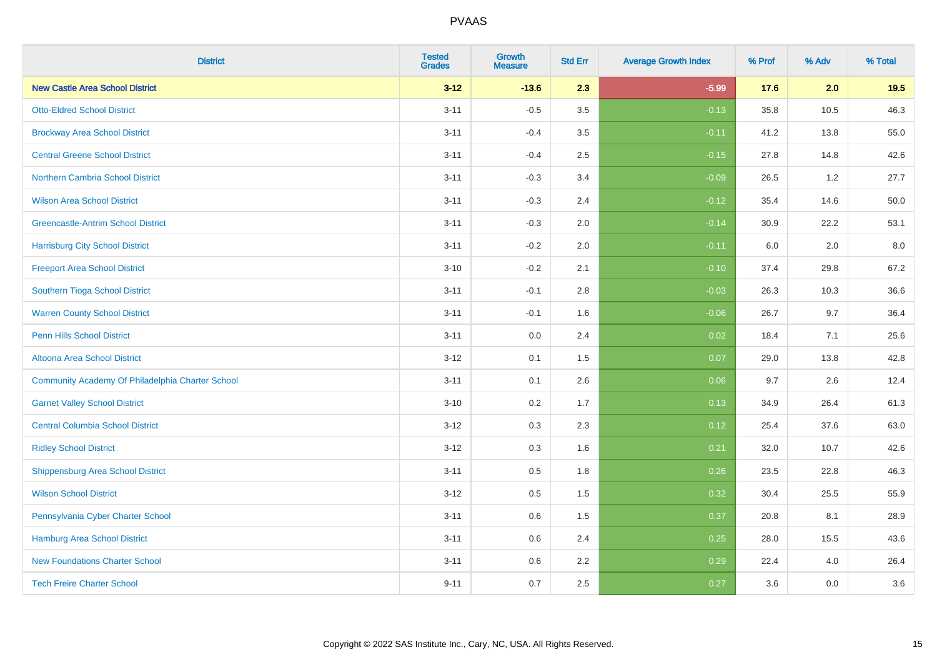| <b>District</b>                                  | <b>Tested</b><br><b>Grades</b> | Growth<br><b>Measure</b> | <b>Std Err</b> | <b>Average Growth Index</b> | % Prof | % Adv | % Total |
|--------------------------------------------------|--------------------------------|--------------------------|----------------|-----------------------------|--------|-------|---------|
| <b>New Castle Area School District</b>           | $3 - 12$                       | $-13.6$                  | 2.3            | $-5.99$                     | 17.6   | 2.0   | 19.5    |
| <b>Otto-Eldred School District</b>               | $3 - 11$                       | $-0.5$                   | 3.5            | $-0.13$                     | 35.8   | 10.5  | 46.3    |
| <b>Brockway Area School District</b>             | $3 - 11$                       | $-0.4$                   | 3.5            | $-0.11$                     | 41.2   | 13.8  | 55.0    |
| <b>Central Greene School District</b>            | $3 - 11$                       | $-0.4$                   | 2.5            | $-0.15$                     | 27.8   | 14.8  | 42.6    |
| Northern Cambria School District                 | $3 - 11$                       | $-0.3$                   | 3.4            | $-0.09$                     | 26.5   | 1.2   | 27.7    |
| <b>Wilson Area School District</b>               | $3 - 11$                       | $-0.3$                   | 2.4            | $-0.12$                     | 35.4   | 14.6  | 50.0    |
| <b>Greencastle-Antrim School District</b>        | $3 - 11$                       | $-0.3$                   | 2.0            | $-0.14$                     | 30.9   | 22.2  | 53.1    |
| <b>Harrisburg City School District</b>           | $3 - 11$                       | $-0.2$                   | 2.0            | $-0.11$                     | 6.0    | 2.0   | 8.0     |
| <b>Freeport Area School District</b>             | $3 - 10$                       | $-0.2$                   | 2.1            | $-0.10$                     | 37.4   | 29.8  | 67.2    |
| Southern Tioga School District                   | $3 - 11$                       | $-0.1$                   | 2.8            | $-0.03$                     | 26.3   | 10.3  | 36.6    |
| <b>Warren County School District</b>             | $3 - 11$                       | $-0.1$                   | 1.6            | $-0.06$                     | 26.7   | 9.7   | 36.4    |
| <b>Penn Hills School District</b>                | $3 - 11$                       | 0.0                      | 2.4            | 0.02                        | 18.4   | 7.1   | 25.6    |
| Altoona Area School District                     | $3 - 12$                       | 0.1                      | 1.5            | 0.07                        | 29.0   | 13.8  | 42.8    |
| Community Academy Of Philadelphia Charter School | $3 - 11$                       | 0.1                      | 2.6            | 0.06                        | 9.7    | 2.6   | 12.4    |
| <b>Garnet Valley School District</b>             | $3 - 10$                       | 0.2                      | 1.7            | 0.13                        | 34.9   | 26.4  | 61.3    |
| <b>Central Columbia School District</b>          | $3 - 12$                       | 0.3                      | 2.3            | 0.12                        | 25.4   | 37.6  | 63.0    |
| <b>Ridley School District</b>                    | $3 - 12$                       | 0.3                      | 1.6            | 0.21                        | 32.0   | 10.7  | 42.6    |
| <b>Shippensburg Area School District</b>         | $3 - 11$                       | 0.5                      | 1.8            | 0.26                        | 23.5   | 22.8  | 46.3    |
| <b>Wilson School District</b>                    | $3 - 12$                       | 0.5                      | 1.5            | 0.32                        | 30.4   | 25.5  | 55.9    |
| Pennsylvania Cyber Charter School                | $3 - 11$                       | 0.6                      | 1.5            | 0.37                        | 20.8   | 8.1   | 28.9    |
| Hamburg Area School District                     | $3 - 11$                       | 0.6                      | 2.4            | 0.25                        | 28.0   | 15.5  | 43.6    |
| <b>New Foundations Charter School</b>            | $3 - 11$                       | 0.6                      | 2.2            | 0.29                        | 22.4   | 4.0   | 26.4    |
| <b>Tech Freire Charter School</b>                | $9 - 11$                       | 0.7                      | 2.5            | 0.27                        | 3.6    | 0.0   | 3.6     |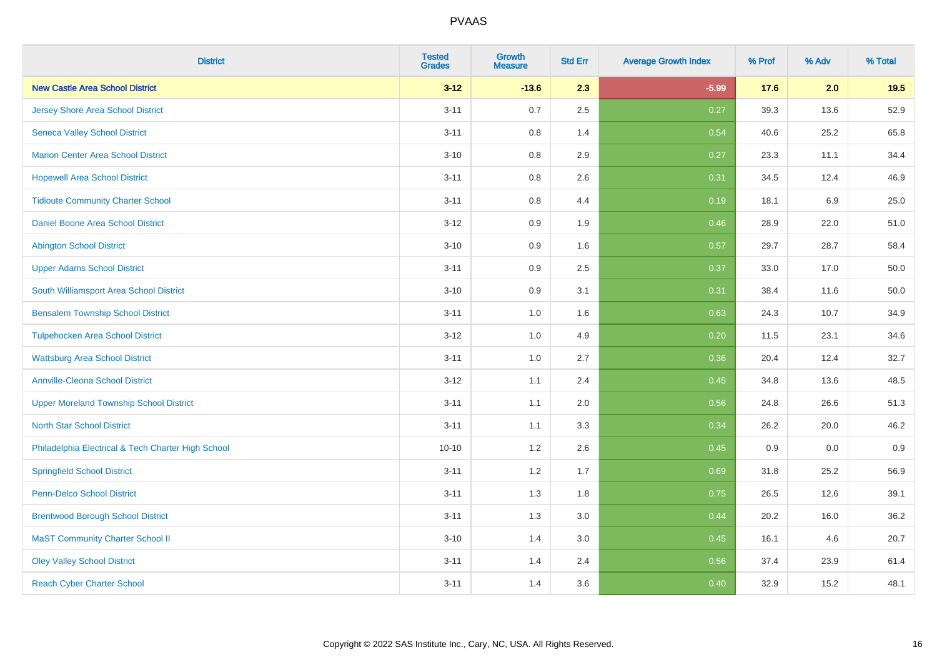| <b>District</b>                                    | <b>Tested</b><br><b>Grades</b> | <b>Growth</b><br><b>Measure</b> | <b>Std Err</b> | <b>Average Growth Index</b> | % Prof | % Adv | % Total |
|----------------------------------------------------|--------------------------------|---------------------------------|----------------|-----------------------------|--------|-------|---------|
| <b>New Castle Area School District</b>             | $3 - 12$                       | $-13.6$                         | 2.3            | $-5.99$                     | 17.6   | 2.0   | 19.5    |
| <b>Jersey Shore Area School District</b>           | $3 - 11$                       | 0.7                             | 2.5            | 0.27                        | 39.3   | 13.6  | 52.9    |
| <b>Seneca Valley School District</b>               | $3 - 11$                       | 0.8                             | 1.4            | 0.54                        | 40.6   | 25.2  | 65.8    |
| <b>Marion Center Area School District</b>          | $3 - 10$                       | 0.8                             | 2.9            | 0.27                        | 23.3   | 11.1  | 34.4    |
| <b>Hopewell Area School District</b>               | $3 - 11$                       | 0.8                             | 2.6            | 0.31                        | 34.5   | 12.4  | 46.9    |
| <b>Tidioute Community Charter School</b>           | $3 - 11$                       | 0.8                             | 4.4            | 0.19                        | 18.1   | 6.9   | 25.0    |
| Daniel Boone Area School District                  | $3 - 12$                       | 0.9                             | 1.9            | 0.46                        | 28.9   | 22.0  | 51.0    |
| <b>Abington School District</b>                    | $3 - 10$                       | 0.9                             | 1.6            | 0.57                        | 29.7   | 28.7  | 58.4    |
| <b>Upper Adams School District</b>                 | $3 - 11$                       | 0.9                             | 2.5            | 0.37                        | 33.0   | 17.0  | 50.0    |
| South Williamsport Area School District            | $3 - 10$                       | 0.9                             | 3.1            | 0.31                        | 38.4   | 11.6  | 50.0    |
| <b>Bensalem Township School District</b>           | $3 - 11$                       | 1.0                             | 1.6            | 0.63                        | 24.3   | 10.7  | 34.9    |
| <b>Tulpehocken Area School District</b>            | $3 - 12$                       | 1.0                             | 4.9            | 0.20                        | 11.5   | 23.1  | 34.6    |
| <b>Wattsburg Area School District</b>              | $3 - 11$                       | 1.0                             | 2.7            | 0.36                        | 20.4   | 12.4  | 32.7    |
| <b>Annville-Cleona School District</b>             | $3 - 12$                       | 1.1                             | 2.4            | 0.45                        | 34.8   | 13.6  | 48.5    |
| <b>Upper Moreland Township School District</b>     | $3 - 11$                       | 1.1                             | 2.0            | 0.56                        | 24.8   | 26.6  | 51.3    |
| <b>North Star School District</b>                  | $3 - 11$                       | 1.1                             | 3.3            | 0.34                        | 26.2   | 20.0  | 46.2    |
| Philadelphia Electrical & Tech Charter High School | $10 - 10$                      | $1.2\,$                         | 2.6            | 0.45                        | 0.9    | 0.0   | 0.9     |
| <b>Springfield School District</b>                 | $3 - 11$                       | 1.2                             | 1.7            | 0.69                        | 31.8   | 25.2  | 56.9    |
| <b>Penn-Delco School District</b>                  | $3 - 11$                       | 1.3                             | 1.8            | 0.75                        | 26.5   | 12.6  | 39.1    |
| <b>Brentwood Borough School District</b>           | $3 - 11$                       | 1.3                             | 3.0            | 0.44                        | 20.2   | 16.0  | 36.2    |
| <b>MaST Community Charter School II</b>            | $3 - 10$                       | 1.4                             | 3.0            | 0.45                        | 16.1   | 4.6   | 20.7    |
| <b>Oley Valley School District</b>                 | $3 - 11$                       | 1.4                             | 2.4            | 0.56                        | 37.4   | 23.9  | 61.4    |
| <b>Reach Cyber Charter School</b>                  | $3 - 11$                       | 1.4                             | 3.6            | 0.40                        | 32.9   | 15.2  | 48.1    |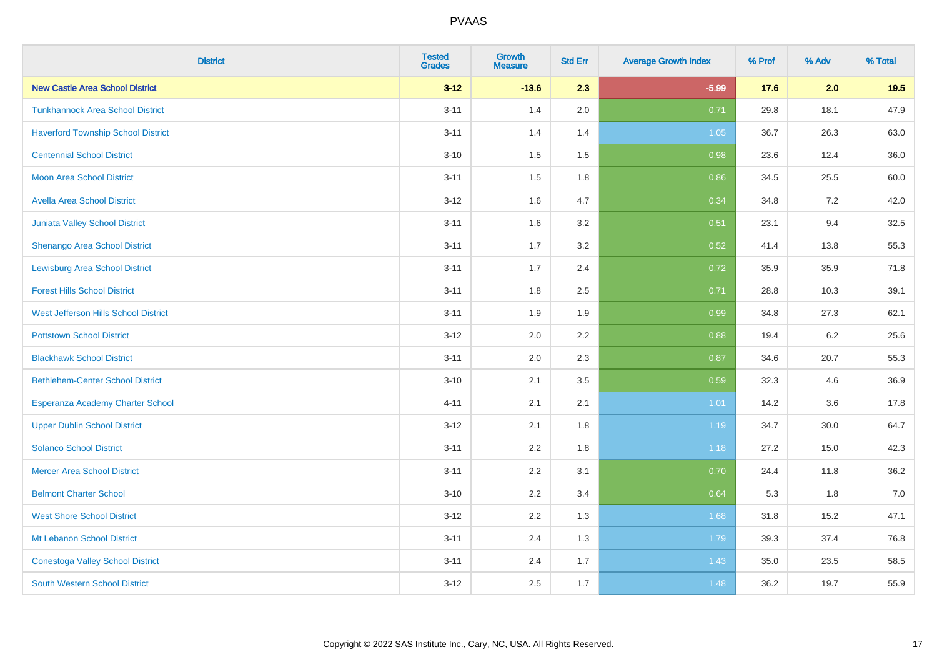| <b>District</b>                           | <b>Tested</b><br><b>Grades</b> | <b>Growth</b><br><b>Measure</b> | <b>Std Err</b> | <b>Average Growth Index</b> | % Prof | % Adv | % Total |
|-------------------------------------------|--------------------------------|---------------------------------|----------------|-----------------------------|--------|-------|---------|
| <b>New Castle Area School District</b>    | $3 - 12$                       | $-13.6$                         | 2.3            | $-5.99$                     | 17.6   | 2.0   | 19.5    |
| <b>Tunkhannock Area School District</b>   | $3 - 11$                       | 1.4                             | 2.0            | 0.71                        | 29.8   | 18.1  | 47.9    |
| <b>Haverford Township School District</b> | $3 - 11$                       | 1.4                             | 1.4            | 1.05                        | 36.7   | 26.3  | 63.0    |
| <b>Centennial School District</b>         | $3 - 10$                       | 1.5                             | 1.5            | 0.98                        | 23.6   | 12.4  | 36.0    |
| <b>Moon Area School District</b>          | $3 - 11$                       | 1.5                             | 1.8            | 0.86                        | 34.5   | 25.5  | 60.0    |
| <b>Avella Area School District</b>        | $3 - 12$                       | 1.6                             | 4.7            | 0.34                        | 34.8   | 7.2   | 42.0    |
| Juniata Valley School District            | $3 - 11$                       | 1.6                             | 3.2            | 0.51                        | 23.1   | 9.4   | 32.5    |
| <b>Shenango Area School District</b>      | $3 - 11$                       | 1.7                             | 3.2            | 0.52                        | 41.4   | 13.8  | 55.3    |
| <b>Lewisburg Area School District</b>     | $3 - 11$                       | 1.7                             | 2.4            | 0.72                        | 35.9   | 35.9  | 71.8    |
| <b>Forest Hills School District</b>       | $3 - 11$                       | 1.8                             | 2.5            | 0.71                        | 28.8   | 10.3  | 39.1    |
| West Jefferson Hills School District      | $3 - 11$                       | 1.9                             | 1.9            | 0.99                        | 34.8   | 27.3  | 62.1    |
| <b>Pottstown School District</b>          | $3 - 12$                       | 2.0                             | 2.2            | 0.88                        | 19.4   | 6.2   | 25.6    |
| <b>Blackhawk School District</b>          | $3 - 11$                       | 2.0                             | 2.3            | 0.87                        | 34.6   | 20.7  | 55.3    |
| <b>Bethlehem-Center School District</b>   | $3 - 10$                       | 2.1                             | 3.5            | 0.59                        | 32.3   | 4.6   | 36.9    |
| Esperanza Academy Charter School          | $4 - 11$                       | 2.1                             | 2.1            | 1.01                        | 14.2   | 3.6   | 17.8    |
| <b>Upper Dublin School District</b>       | $3 - 12$                       | 2.1                             | 1.8            | 1.19                        | 34.7   | 30.0  | 64.7    |
| <b>Solanco School District</b>            | $3 - 11$                       | 2.2                             | 1.8            | 1.18                        | 27.2   | 15.0  | 42.3    |
| <b>Mercer Area School District</b>        | $3 - 11$                       | 2.2                             | 3.1            | 0.70                        | 24.4   | 11.8  | 36.2    |
| <b>Belmont Charter School</b>             | $3 - 10$                       | 2.2                             | 3.4            | 0.64                        | 5.3    | 1.8   | $7.0$   |
| <b>West Shore School District</b>         | $3 - 12$                       | 2.2                             | 1.3            | 1.68                        | 31.8   | 15.2  | 47.1    |
| Mt Lebanon School District                | $3 - 11$                       | 2.4                             | 1.3            | 1.79                        | 39.3   | 37.4  | 76.8    |
| <b>Conestoga Valley School District</b>   | $3 - 11$                       | 2.4                             | 1.7            | 1.43                        | 35.0   | 23.5  | 58.5    |
| <b>South Western School District</b>      | $3 - 12$                       | 2.5                             | 1.7            | 1.48                        | 36.2   | 19.7  | 55.9    |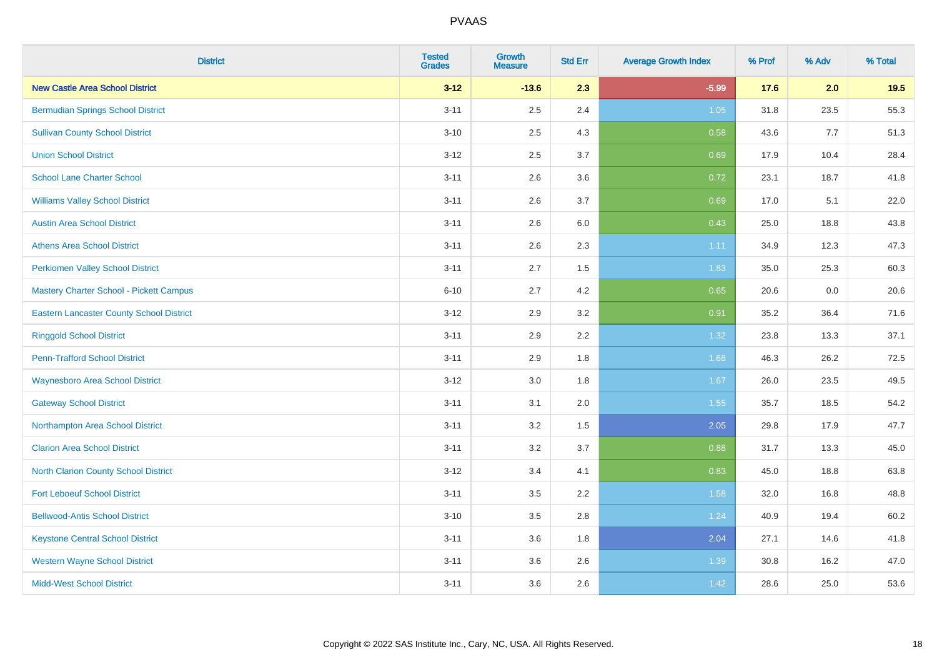| <b>District</b>                                 | <b>Tested</b><br><b>Grades</b> | <b>Growth</b><br><b>Measure</b> | <b>Std Err</b> | <b>Average Growth Index</b> | % Prof | % Adv | % Total |
|-------------------------------------------------|--------------------------------|---------------------------------|----------------|-----------------------------|--------|-------|---------|
| <b>New Castle Area School District</b>          | $3 - 12$                       | $-13.6$                         | 2.3            | $-5.99$                     | 17.6   | 2.0   | 19.5    |
| <b>Bermudian Springs School District</b>        | $3 - 11$                       | 2.5                             | 2.4            | 1.05                        | 31.8   | 23.5  | 55.3    |
| <b>Sullivan County School District</b>          | $3 - 10$                       | 2.5                             | 4.3            | 0.58                        | 43.6   | 7.7   | 51.3    |
| <b>Union School District</b>                    | $3 - 12$                       | 2.5                             | 3.7            | 0.69                        | 17.9   | 10.4  | 28.4    |
| <b>School Lane Charter School</b>               | $3 - 11$                       | 2.6                             | 3.6            | 0.72                        | 23.1   | 18.7  | 41.8    |
| <b>Williams Valley School District</b>          | $3 - 11$                       | 2.6                             | 3.7            | 0.69                        | 17.0   | 5.1   | 22.0    |
| <b>Austin Area School District</b>              | $3 - 11$                       | 2.6                             | 6.0            | 0.43                        | 25.0   | 18.8  | 43.8    |
| <b>Athens Area School District</b>              | $3 - 11$                       | 2.6                             | 2.3            | 1.11                        | 34.9   | 12.3  | 47.3    |
| <b>Perkiomen Valley School District</b>         | $3 - 11$                       | 2.7                             | 1.5            | 1.83                        | 35.0   | 25.3  | 60.3    |
| <b>Mastery Charter School - Pickett Campus</b>  | $6 - 10$                       | 2.7                             | 4.2            | 0.65                        | 20.6   | 0.0   | 20.6    |
| <b>Eastern Lancaster County School District</b> | $3 - 12$                       | 2.9                             | 3.2            | 0.91                        | 35.2   | 36.4  | 71.6    |
| <b>Ringgold School District</b>                 | $3 - 11$                       | 2.9                             | 2.2            | 1.32                        | 23.8   | 13.3  | 37.1    |
| <b>Penn-Trafford School District</b>            | $3 - 11$                       | 2.9                             | 1.8            | 1.68                        | 46.3   | 26.2  | 72.5    |
| <b>Waynesboro Area School District</b>          | $3 - 12$                       | 3.0                             | 1.8            | 1.67                        | 26.0   | 23.5  | 49.5    |
| <b>Gateway School District</b>                  | $3 - 11$                       | 3.1                             | 2.0            | 1.55                        | 35.7   | 18.5  | 54.2    |
| Northampton Area School District                | $3 - 11$                       | 3.2                             | 1.5            | 2.05                        | 29.8   | 17.9  | 47.7    |
| <b>Clarion Area School District</b>             | $3 - 11$                       | $3.2\,$                         | 3.7            | 0.88                        | 31.7   | 13.3  | 45.0    |
| North Clarion County School District            | $3 - 12$                       | 3.4                             | 4.1            | 0.83                        | 45.0   | 18.8  | 63.8    |
| <b>Fort Leboeuf School District</b>             | $3 - 11$                       | 3.5                             | 2.2            | 1.58                        | 32.0   | 16.8  | 48.8    |
| <b>Bellwood-Antis School District</b>           | $3 - 10$                       | 3.5                             | 2.8            | 1.24                        | 40.9   | 19.4  | 60.2    |
| <b>Keystone Central School District</b>         | $3 - 11$                       | 3.6                             | 1.8            | 2.04                        | 27.1   | 14.6  | 41.8    |
| <b>Western Wayne School District</b>            | $3 - 11$                       | 3.6                             | 2.6            | 1.39                        | 30.8   | 16.2  | 47.0    |
| <b>Midd-West School District</b>                | $3 - 11$                       | 3.6                             | 2.6            | 1.42                        | 28.6   | 25.0  | 53.6    |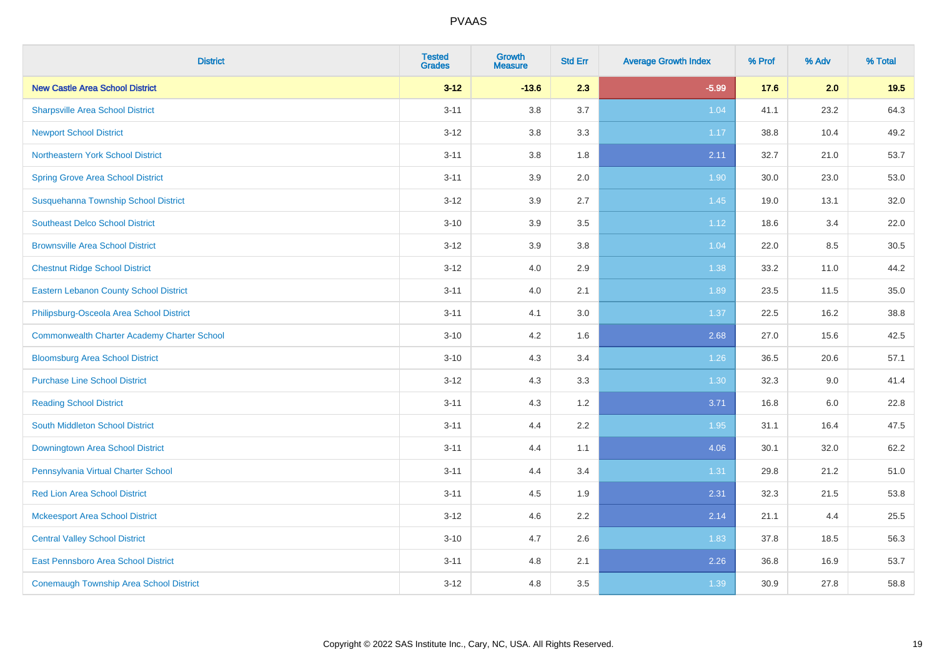| <b>District</b>                                    | <b>Tested</b><br><b>Grades</b> | <b>Growth</b><br><b>Measure</b> | <b>Std Err</b> | <b>Average Growth Index</b> | % Prof | % Adv | % Total |
|----------------------------------------------------|--------------------------------|---------------------------------|----------------|-----------------------------|--------|-------|---------|
| <b>New Castle Area School District</b>             | $3 - 12$                       | $-13.6$                         | 2.3            | $-5.99$                     | 17.6   | 2.0   | 19.5    |
| <b>Sharpsville Area School District</b>            | $3 - 11$                       | 3.8                             | 3.7            | 1.04                        | 41.1   | 23.2  | 64.3    |
| <b>Newport School District</b>                     | $3 - 12$                       | 3.8                             | 3.3            | 1.17                        | 38.8   | 10.4  | 49.2    |
| Northeastern York School District                  | $3 - 11$                       | 3.8                             | 1.8            | 2.11                        | 32.7   | 21.0  | 53.7    |
| <b>Spring Grove Area School District</b>           | $3 - 11$                       | 3.9                             | 2.0            | 1.90                        | 30.0   | 23.0  | 53.0    |
| Susquehanna Township School District               | $3 - 12$                       | 3.9                             | 2.7            | 1.45                        | 19.0   | 13.1  | 32.0    |
| <b>Southeast Delco School District</b>             | $3 - 10$                       | 3.9                             | 3.5            | 1.12                        | 18.6   | 3.4   | 22.0    |
| <b>Brownsville Area School District</b>            | $3 - 12$                       | 3.9                             | 3.8            | 1.04                        | 22.0   | 8.5   | 30.5    |
| <b>Chestnut Ridge School District</b>              | $3 - 12$                       | 4.0                             | 2.9            | 1.38                        | 33.2   | 11.0  | 44.2    |
| <b>Eastern Lebanon County School District</b>      | $3 - 11$                       | 4.0                             | 2.1            | 1.89                        | 23.5   | 11.5  | 35.0    |
| Philipsburg-Osceola Area School District           | $3 - 11$                       | 4.1                             | 3.0            | 1.37                        | 22.5   | 16.2  | 38.8    |
| <b>Commonwealth Charter Academy Charter School</b> | $3 - 10$                       | 4.2                             | 1.6            | 2.68                        | 27.0   | 15.6  | 42.5    |
| <b>Bloomsburg Area School District</b>             | $3 - 10$                       | 4.3                             | 3.4            | 1.26                        | 36.5   | 20.6  | 57.1    |
| <b>Purchase Line School District</b>               | $3 - 12$                       | 4.3                             | 3.3            | 1.30                        | 32.3   | 9.0   | 41.4    |
| <b>Reading School District</b>                     | $3 - 11$                       | 4.3                             | 1.2            | 3.71                        | 16.8   | 6.0   | 22.8    |
| South Middleton School District                    | $3 - 11$                       | 4.4                             | 2.2            | 1.95                        | 31.1   | 16.4  | 47.5    |
| <b>Downingtown Area School District</b>            | $3 - 11$                       | 4.4                             | 1.1            | 4.06                        | 30.1   | 32.0  | 62.2    |
| Pennsylvania Virtual Charter School                | $3 - 11$                       | 4.4                             | 3.4            | 1.31                        | 29.8   | 21.2  | 51.0    |
| <b>Red Lion Area School District</b>               | $3 - 11$                       | 4.5                             | 1.9            | 2.31                        | 32.3   | 21.5  | 53.8    |
| <b>Mckeesport Area School District</b>             | $3 - 12$                       | 4.6                             | 2.2            | 2.14                        | 21.1   | 4.4   | 25.5    |
| <b>Central Valley School District</b>              | $3 - 10$                       | 4.7                             | 2.6            | 1.83                        | 37.8   | 18.5  | 56.3    |
| <b>East Pennsboro Area School District</b>         | $3 - 11$                       | 4.8                             | 2.1            | 2.26                        | 36.8   | 16.9  | 53.7    |
| <b>Conemaugh Township Area School District</b>     | $3 - 12$                       | 4.8                             | 3.5            | 1.39                        | 30.9   | 27.8  | 58.8    |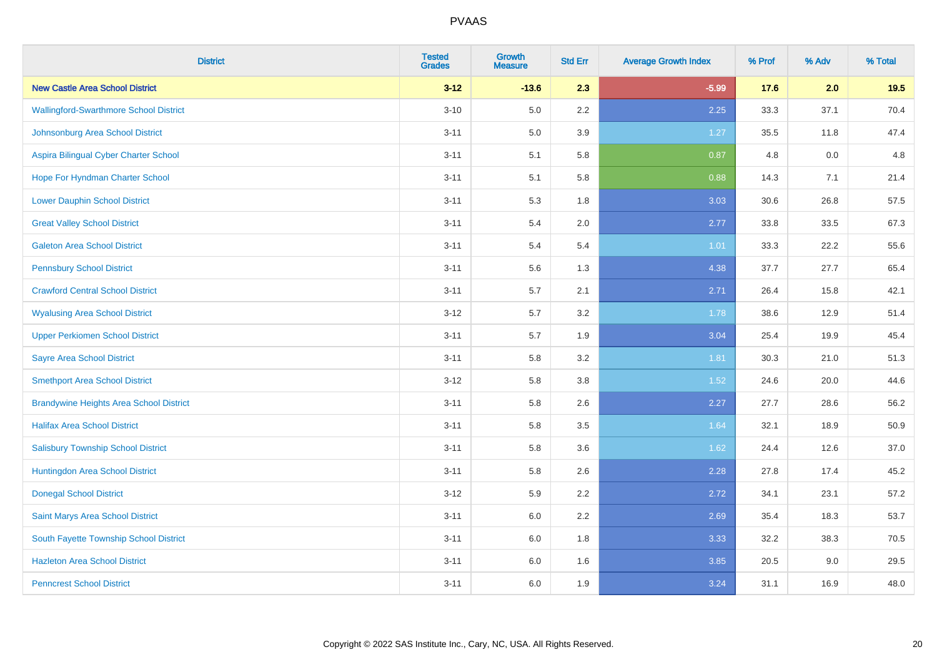| <b>District</b>                                | <b>Tested</b><br><b>Grades</b> | <b>Growth</b><br><b>Measure</b> | <b>Std Err</b> | <b>Average Growth Index</b> | % Prof | % Adv | % Total |
|------------------------------------------------|--------------------------------|---------------------------------|----------------|-----------------------------|--------|-------|---------|
| <b>New Castle Area School District</b>         | $3 - 12$                       | $-13.6$                         | 2.3            | $-5.99$                     | 17.6   | 2.0   | 19.5    |
| <b>Wallingford-Swarthmore School District</b>  | $3 - 10$                       | 5.0                             | $2.2\,$        | 2.25                        | 33.3   | 37.1  | 70.4    |
| Johnsonburg Area School District               | $3 - 11$                       | 5.0                             | 3.9            | 1.27                        | 35.5   | 11.8  | 47.4    |
| Aspira Bilingual Cyber Charter School          | $3 - 11$                       | 5.1                             | 5.8            | 0.87                        | 4.8    | 0.0   | 4.8     |
| Hope For Hyndman Charter School                | $3 - 11$                       | 5.1                             | 5.8            | 0.88                        | 14.3   | 7.1   | 21.4    |
| <b>Lower Dauphin School District</b>           | $3 - 11$                       | 5.3                             | 1.8            | 3.03                        | 30.6   | 26.8  | 57.5    |
| <b>Great Valley School District</b>            | $3 - 11$                       | 5.4                             | 2.0            | 2.77                        | 33.8   | 33.5  | 67.3    |
| <b>Galeton Area School District</b>            | $3 - 11$                       | 5.4                             | 5.4            | 1.01                        | 33.3   | 22.2  | 55.6    |
| <b>Pennsbury School District</b>               | $3 - 11$                       | 5.6                             | 1.3            | 4.38                        | 37.7   | 27.7  | 65.4    |
| <b>Crawford Central School District</b>        | $3 - 11$                       | 5.7                             | 2.1            | 2.71                        | 26.4   | 15.8  | 42.1    |
| <b>Wyalusing Area School District</b>          | $3 - 12$                       | 5.7                             | 3.2            | 1.78                        | 38.6   | 12.9  | 51.4    |
| <b>Upper Perkiomen School District</b>         | $3 - 11$                       | 5.7                             | 1.9            | 3.04                        | 25.4   | 19.9  | 45.4    |
| <b>Sayre Area School District</b>              | $3 - 11$                       | 5.8                             | 3.2            | 1.81                        | 30.3   | 21.0  | 51.3    |
| <b>Smethport Area School District</b>          | $3 - 12$                       | 5.8                             | 3.8            | 1.52                        | 24.6   | 20.0  | 44.6    |
| <b>Brandywine Heights Area School District</b> | $3 - 11$                       | 5.8                             | 2.6            | 2.27                        | 27.7   | 28.6  | 56.2    |
| <b>Halifax Area School District</b>            | $3 - 11$                       | 5.8                             | 3.5            | 1.64                        | 32.1   | 18.9  | 50.9    |
| <b>Salisbury Township School District</b>      | $3 - 11$                       | 5.8                             | 3.6            | 1.62                        | 24.4   | 12.6  | 37.0    |
| Huntingdon Area School District                | $3 - 11$                       | 5.8                             | 2.6            | 2.28                        | 27.8   | 17.4  | 45.2    |
| <b>Donegal School District</b>                 | $3 - 12$                       | 5.9                             | 2.2            | 2.72                        | 34.1   | 23.1  | 57.2    |
| Saint Marys Area School District               | $3 - 11$                       | 6.0                             | 2.2            | 2.69                        | 35.4   | 18.3  | 53.7    |
| South Fayette Township School District         | $3 - 11$                       | 6.0                             | 1.8            | 3.33                        | 32.2   | 38.3  | 70.5    |
| <b>Hazleton Area School District</b>           | $3 - 11$                       | 6.0                             | 1.6            | 3.85                        | 20.5   | 9.0   | 29.5    |
| <b>Penncrest School District</b>               | $3 - 11$                       | 6.0                             | 1.9            | 3.24                        | 31.1   | 16.9  | 48.0    |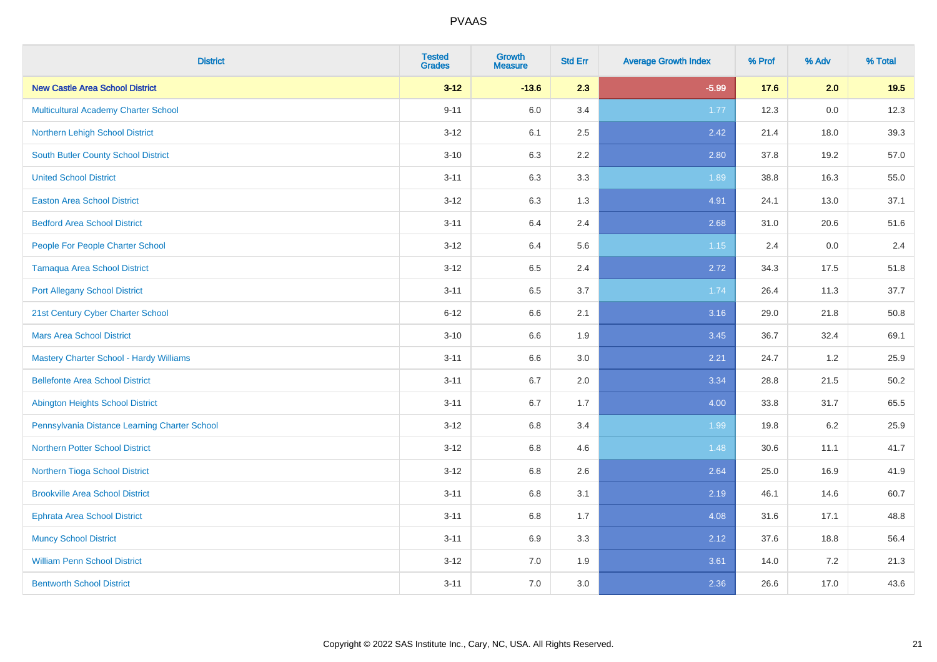| <b>District</b>                               | <b>Tested</b><br><b>Grades</b> | <b>Growth</b><br><b>Measure</b> | <b>Std Err</b> | <b>Average Growth Index</b> | % Prof | % Adv   | % Total |
|-----------------------------------------------|--------------------------------|---------------------------------|----------------|-----------------------------|--------|---------|---------|
| <b>New Castle Area School District</b>        | $3 - 12$                       | $-13.6$                         | 2.3            | $-5.99$                     | 17.6   | 2.0     | 19.5    |
| Multicultural Academy Charter School          | $9 - 11$                       | 6.0                             | 3.4            | 1.77                        | 12.3   | $0.0\,$ | 12.3    |
| Northern Lehigh School District               | $3 - 12$                       | 6.1                             | 2.5            | 2.42                        | 21.4   | 18.0    | 39.3    |
| South Butler County School District           | $3 - 10$                       | 6.3                             | 2.2            | 2.80                        | 37.8   | 19.2    | 57.0    |
| <b>United School District</b>                 | $3 - 11$                       | 6.3                             | 3.3            | 1.89                        | 38.8   | 16.3    | 55.0    |
| <b>Easton Area School District</b>            | $3 - 12$                       | 6.3                             | 1.3            | 4.91                        | 24.1   | 13.0    | 37.1    |
| <b>Bedford Area School District</b>           | $3 - 11$                       | 6.4                             | 2.4            | 2.68                        | 31.0   | 20.6    | 51.6    |
| People For People Charter School              | $3 - 12$                       | 6.4                             | 5.6            | 1.15                        | 2.4    | 0.0     | 2.4     |
| <b>Tamaqua Area School District</b>           | $3 - 12$                       | 6.5                             | 2.4            | 2.72                        | 34.3   | 17.5    | 51.8    |
| <b>Port Allegany School District</b>          | $3 - 11$                       | 6.5                             | 3.7            | 1.74                        | 26.4   | 11.3    | 37.7    |
| 21st Century Cyber Charter School             | $6 - 12$                       | 6.6                             | 2.1            | 3.16                        | 29.0   | 21.8    | 50.8    |
| <b>Mars Area School District</b>              | $3 - 10$                       | 6.6                             | 1.9            | 3.45                        | 36.7   | 32.4    | 69.1    |
| Mastery Charter School - Hardy Williams       | $3 - 11$                       | 6.6                             | $3.0\,$        | 2.21                        | 24.7   | $1.2\,$ | 25.9    |
| <b>Bellefonte Area School District</b>        | $3 - 11$                       | 6.7                             | 2.0            | 3.34                        | 28.8   | 21.5    | 50.2    |
| <b>Abington Heights School District</b>       | $3 - 11$                       | 6.7                             | 1.7            | 4.00                        | 33.8   | 31.7    | 65.5    |
| Pennsylvania Distance Learning Charter School | $3 - 12$                       | $6.8\,$                         | 3.4            | 1.99                        | 19.8   | $6.2\,$ | 25.9    |
| <b>Northern Potter School District</b>        | $3 - 12$                       | 6.8                             | 4.6            | 1.48                        | 30.6   | 11.1    | 41.7    |
| Northern Tioga School District                | $3 - 12$                       | 6.8                             | 2.6            | 2.64                        | 25.0   | 16.9    | 41.9    |
| <b>Brookville Area School District</b>        | $3 - 11$                       | 6.8                             | 3.1            | 2.19                        | 46.1   | 14.6    | 60.7    |
| Ephrata Area School District                  | $3 - 11$                       | 6.8                             | 1.7            | 4.08                        | 31.6   | 17.1    | 48.8    |
| <b>Muncy School District</b>                  | $3 - 11$                       | 6.9                             | 3.3            | 2.12                        | 37.6   | 18.8    | 56.4    |
| <b>William Penn School District</b>           | $3 - 12$                       | 7.0                             | 1.9            | 3.61                        | 14.0   | $7.2\,$ | 21.3    |
| <b>Bentworth School District</b>              | $3 - 11$                       | 7.0                             | 3.0            | 2.36                        | 26.6   | 17.0    | 43.6    |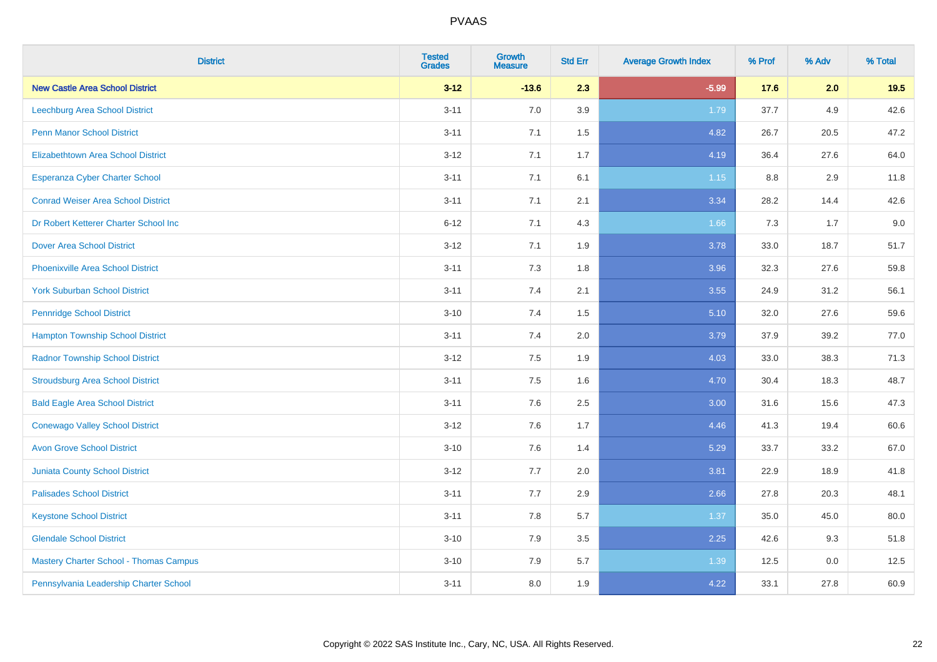| <b>District</b>                               | <b>Tested</b><br><b>Grades</b> | <b>Growth</b><br><b>Measure</b> | <b>Std Err</b> | <b>Average Growth Index</b> | % Prof | % Adv | % Total |
|-----------------------------------------------|--------------------------------|---------------------------------|----------------|-----------------------------|--------|-------|---------|
| <b>New Castle Area School District</b>        | $3 - 12$                       | $-13.6$                         | 2.3            | $-5.99$                     | 17.6   | 2.0   | 19.5    |
| Leechburg Area School District                | $3 - 11$                       | 7.0                             | 3.9            | 1.79                        | 37.7   | 4.9   | 42.6    |
| <b>Penn Manor School District</b>             | $3 - 11$                       | 7.1                             | 1.5            | 4.82                        | 26.7   | 20.5  | 47.2    |
| <b>Elizabethtown Area School District</b>     | $3 - 12$                       | 7.1                             | 1.7            | 4.19                        | 36.4   | 27.6  | 64.0    |
| <b>Esperanza Cyber Charter School</b>         | $3 - 11$                       | 7.1                             | 6.1            | 1.15                        | 8.8    | 2.9   | 11.8    |
| <b>Conrad Weiser Area School District</b>     | $3 - 11$                       | 7.1                             | 2.1            | 3.34                        | 28.2   | 14.4  | 42.6    |
| Dr Robert Ketterer Charter School Inc         | $6 - 12$                       | 7.1                             | 4.3            | 1.66                        | 7.3    | 1.7   | 9.0     |
| <b>Dover Area School District</b>             | $3 - 12$                       | 7.1                             | 1.9            | 3.78                        | 33.0   | 18.7  | 51.7    |
| <b>Phoenixville Area School District</b>      | $3 - 11$                       | 7.3                             | 1.8            | 3.96                        | 32.3   | 27.6  | 59.8    |
| <b>York Suburban School District</b>          | $3 - 11$                       | 7.4                             | 2.1            | 3.55                        | 24.9   | 31.2  | 56.1    |
| <b>Pennridge School District</b>              | $3 - 10$                       | 7.4                             | 1.5            | 5.10                        | 32.0   | 27.6  | 59.6    |
| <b>Hampton Township School District</b>       | $3 - 11$                       | 7.4                             | 2.0            | 3.79                        | 37.9   | 39.2  | 77.0    |
| <b>Radnor Township School District</b>        | $3 - 12$                       | $7.5\,$                         | 1.9            | 4.03                        | 33.0   | 38.3  | 71.3    |
| <b>Stroudsburg Area School District</b>       | $3 - 11$                       | 7.5                             | 1.6            | 4.70                        | 30.4   | 18.3  | 48.7    |
| <b>Bald Eagle Area School District</b>        | $3 - 11$                       | 7.6                             | 2.5            | 3.00                        | 31.6   | 15.6  | 47.3    |
| <b>Conewago Valley School District</b>        | $3 - 12$                       | 7.6                             | 1.7            | 4.46                        | 41.3   | 19.4  | 60.6    |
| <b>Avon Grove School District</b>             | $3 - 10$                       | 7.6                             | 1.4            | 5.29                        | 33.7   | 33.2  | 67.0    |
| <b>Juniata County School District</b>         | $3 - 12$                       | 7.7                             | 2.0            | 3.81                        | 22.9   | 18.9  | 41.8    |
| <b>Palisades School District</b>              | $3 - 11$                       | 7.7                             | 2.9            | 2.66                        | 27.8   | 20.3  | 48.1    |
| <b>Keystone School District</b>               | $3 - 11$                       | 7.8                             | 5.7            | 1.37                        | 35.0   | 45.0  | 80.0    |
| <b>Glendale School District</b>               | $3 - 10$                       | 7.9                             | 3.5            | 2.25                        | 42.6   | 9.3   | 51.8    |
| <b>Mastery Charter School - Thomas Campus</b> | $3 - 10$                       | 7.9                             | 5.7            | 1.39                        | 12.5   | 0.0   | 12.5    |
| Pennsylvania Leadership Charter School        | $3 - 11$                       | 8.0                             | 1.9            | 4.22                        | 33.1   | 27.8  | 60.9    |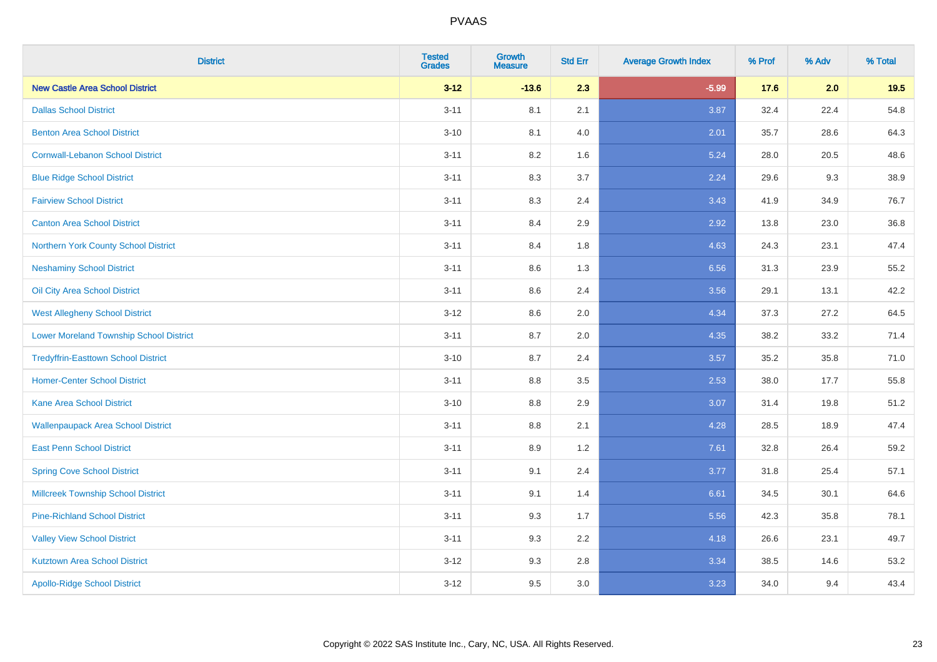| <b>District</b>                                | <b>Tested</b><br><b>Grades</b> | <b>Growth</b><br><b>Measure</b> | <b>Std Err</b> | <b>Average Growth Index</b> | % Prof | % Adv | % Total |
|------------------------------------------------|--------------------------------|---------------------------------|----------------|-----------------------------|--------|-------|---------|
| <b>New Castle Area School District</b>         | $3 - 12$                       | $-13.6$                         | 2.3            | $-5.99$                     | 17.6   | 2.0   | 19.5    |
| <b>Dallas School District</b>                  | $3 - 11$                       | 8.1                             | 2.1            | 3.87                        | 32.4   | 22.4  | 54.8    |
| <b>Benton Area School District</b>             | $3 - 10$                       | 8.1                             | 4.0            | 2.01                        | 35.7   | 28.6  | 64.3    |
| <b>Cornwall-Lebanon School District</b>        | $3 - 11$                       | 8.2                             | 1.6            | 5.24                        | 28.0   | 20.5  | 48.6    |
| <b>Blue Ridge School District</b>              | $3 - 11$                       | 8.3                             | 3.7            | 2.24                        | 29.6   | 9.3   | 38.9    |
| <b>Fairview School District</b>                | $3 - 11$                       | 8.3                             | 2.4            | 3.43                        | 41.9   | 34.9  | 76.7    |
| <b>Canton Area School District</b>             | $3 - 11$                       | 8.4                             | 2.9            | 2.92                        | 13.8   | 23.0  | 36.8    |
| Northern York County School District           | $3 - 11$                       | 8.4                             | 1.8            | 4.63                        | 24.3   | 23.1  | 47.4    |
| <b>Neshaminy School District</b>               | $3 - 11$                       | 8.6                             | 1.3            | 6.56                        | 31.3   | 23.9  | 55.2    |
| Oil City Area School District                  | $3 - 11$                       | 8.6                             | 2.4            | 3.56                        | 29.1   | 13.1  | 42.2    |
| <b>West Allegheny School District</b>          | $3-12$                         | 8.6                             | 2.0            | 4.34                        | 37.3   | 27.2  | 64.5    |
| <b>Lower Moreland Township School District</b> | $3 - 11$                       | 8.7                             | 2.0            | 4.35                        | 38.2   | 33.2  | 71.4    |
| <b>Tredyffrin-Easttown School District</b>     | $3 - 10$                       | 8.7                             | 2.4            | 3.57                        | 35.2   | 35.8  | 71.0    |
| <b>Homer-Center School District</b>            | $3 - 11$                       | 8.8                             | 3.5            | 2.53                        | 38.0   | 17.7  | 55.8    |
| <b>Kane Area School District</b>               | $3 - 10$                       | 8.8                             | 2.9            | 3.07                        | 31.4   | 19.8  | 51.2    |
| <b>Wallenpaupack Area School District</b>      | $3 - 11$                       | $8.8\,$                         | 2.1            | 4.28                        | 28.5   | 18.9  | 47.4    |
| <b>East Penn School District</b>               | $3 - 11$                       | 8.9                             | 1.2            | 7.61                        | 32.8   | 26.4  | 59.2    |
| <b>Spring Cove School District</b>             | $3 - 11$                       | 9.1                             | 2.4            | 3.77                        | 31.8   | 25.4  | 57.1    |
| <b>Millcreek Township School District</b>      | $3 - 11$                       | 9.1                             | 1.4            | 6.61                        | 34.5   | 30.1  | 64.6    |
| <b>Pine-Richland School District</b>           | $3 - 11$                       | 9.3                             | 1.7            | 5.56                        | 42.3   | 35.8  | 78.1    |
| <b>Valley View School District</b>             | $3 - 11$                       | 9.3                             | 2.2            | 4.18                        | 26.6   | 23.1  | 49.7    |
| <b>Kutztown Area School District</b>           | $3-12$                         | 9.3                             | 2.8            | 3.34                        | 38.5   | 14.6  | 53.2    |
| <b>Apollo-Ridge School District</b>            | $3 - 12$                       | 9.5                             | 3.0            | 3.23                        | 34.0   | 9.4   | 43.4    |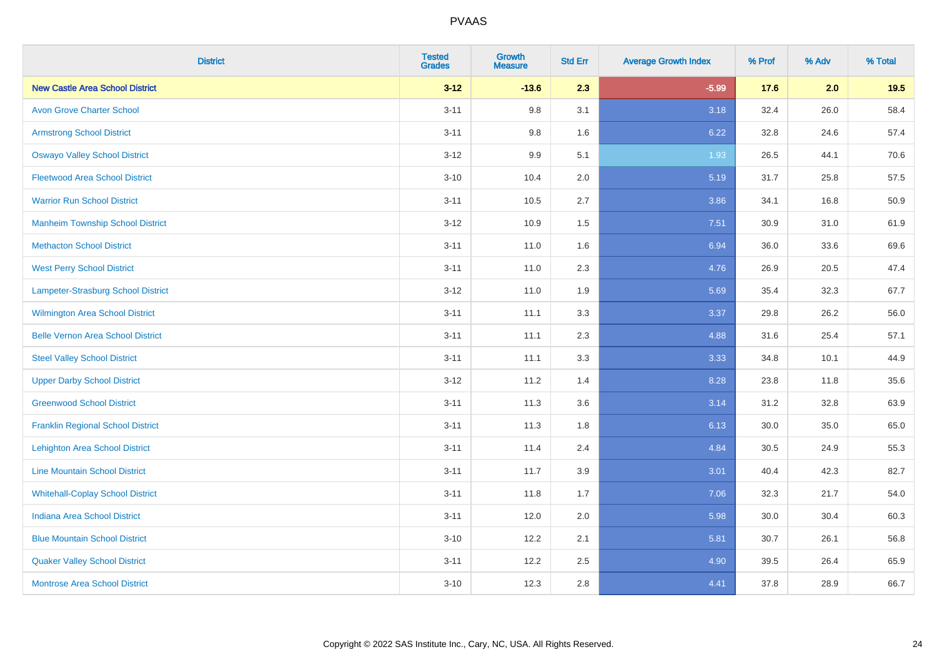| <b>District</b>                          | <b>Tested</b><br><b>Grades</b> | <b>Growth</b><br><b>Measure</b> | <b>Std Err</b> | <b>Average Growth Index</b> | % Prof | % Adv | % Total |
|------------------------------------------|--------------------------------|---------------------------------|----------------|-----------------------------|--------|-------|---------|
| <b>New Castle Area School District</b>   | $3 - 12$                       | $-13.6$                         | 2.3            | $-5.99$                     | 17.6   | 2.0   | 19.5    |
| <b>Avon Grove Charter School</b>         | $3 - 11$                       | 9.8                             | 3.1            | 3.18                        | 32.4   | 26.0  | 58.4    |
| <b>Armstrong School District</b>         | $3 - 11$                       | 9.8                             | 1.6            | 6.22                        | 32.8   | 24.6  | 57.4    |
| <b>Oswayo Valley School District</b>     | $3 - 12$                       | 9.9                             | 5.1            | 1.93                        | 26.5   | 44.1  | 70.6    |
| <b>Fleetwood Area School District</b>    | $3 - 10$                       | 10.4                            | 2.0            | 5.19                        | 31.7   | 25.8  | 57.5    |
| <b>Warrior Run School District</b>       | $3 - 11$                       | 10.5                            | 2.7            | 3.86                        | 34.1   | 16.8  | 50.9    |
| <b>Manheim Township School District</b>  | $3-12$                         | 10.9                            | 1.5            | 7.51                        | 30.9   | 31.0  | 61.9    |
| <b>Methacton School District</b>         | $3 - 11$                       | 11.0                            | 1.6            | 6.94                        | 36.0   | 33.6  | 69.6    |
| <b>West Perry School District</b>        | $3 - 11$                       | 11.0                            | 2.3            | 4.76                        | 26.9   | 20.5  | 47.4    |
| Lampeter-Strasburg School District       | $3 - 12$                       | 11.0                            | 1.9            | 5.69                        | 35.4   | 32.3  | 67.7    |
| <b>Wilmington Area School District</b>   | $3 - 11$                       | 11.1                            | 3.3            | 3.37                        | 29.8   | 26.2  | 56.0    |
| <b>Belle Vernon Area School District</b> | $3 - 11$                       | 11.1                            | 2.3            | 4.88                        | 31.6   | 25.4  | 57.1    |
| <b>Steel Valley School District</b>      | $3 - 11$                       | 11.1                            | 3.3            | 3.33                        | 34.8   | 10.1  | 44.9    |
| <b>Upper Darby School District</b>       | $3 - 12$                       | 11.2                            | 1.4            | 8.28                        | 23.8   | 11.8  | 35.6    |
| <b>Greenwood School District</b>         | $3 - 11$                       | 11.3                            | 3.6            | 3.14                        | 31.2   | 32.8  | 63.9    |
| <b>Franklin Regional School District</b> | $3 - 11$                       | 11.3                            | 1.8            | 6.13                        | 30.0   | 35.0  | 65.0    |
| <b>Lehighton Area School District</b>    | $3 - 11$                       | 11.4                            | 2.4            | 4.84                        | 30.5   | 24.9  | 55.3    |
| <b>Line Mountain School District</b>     | $3 - 11$                       | 11.7                            | 3.9            | 3.01                        | 40.4   | 42.3  | 82.7    |
| <b>Whitehall-Coplay School District</b>  | $3 - 11$                       | 11.8                            | 1.7            | 7.06                        | 32.3   | 21.7  | 54.0    |
| <b>Indiana Area School District</b>      | $3 - 11$                       | 12.0                            | 2.0            | 5.98                        | 30.0   | 30.4  | 60.3    |
| <b>Blue Mountain School District</b>     | $3 - 10$                       | 12.2                            | 2.1            | 5.81                        | 30.7   | 26.1  | 56.8    |
| <b>Quaker Valley School District</b>     | $3 - 11$                       | 12.2                            | 2.5            | 4.90                        | 39.5   | 26.4  | 65.9    |
| <b>Montrose Area School District</b>     | $3 - 10$                       | 12.3                            | 2.8            | 4.41                        | 37.8   | 28.9  | 66.7    |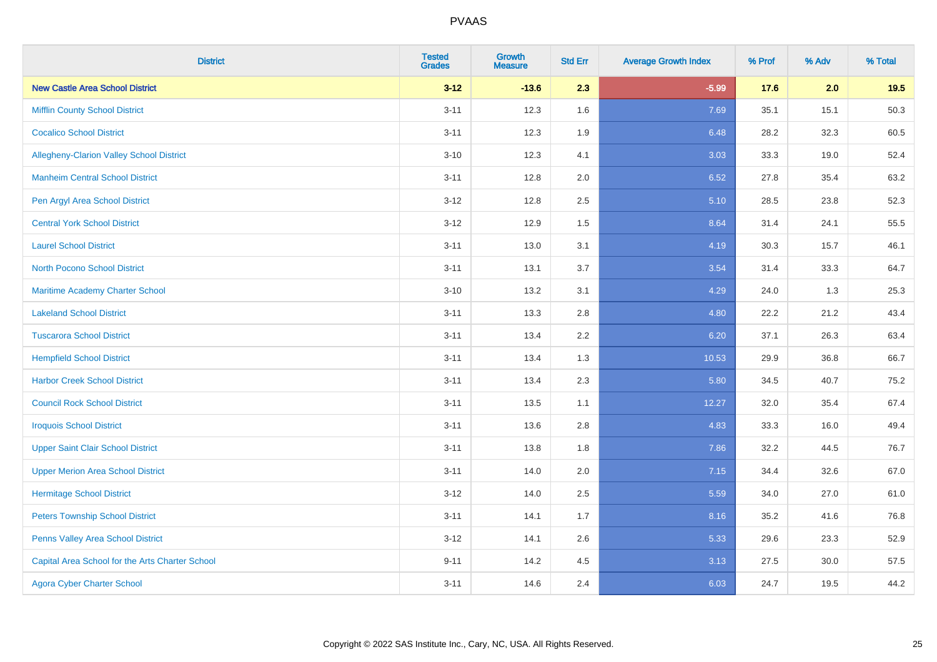| <b>District</b>                                 | <b>Tested</b><br><b>Grades</b> | <b>Growth</b><br><b>Measure</b> | <b>Std Err</b> | <b>Average Growth Index</b> | % Prof | % Adv | % Total |
|-------------------------------------------------|--------------------------------|---------------------------------|----------------|-----------------------------|--------|-------|---------|
| <b>New Castle Area School District</b>          | $3 - 12$                       | $-13.6$                         | 2.3            | $-5.99$                     | 17.6   | 2.0   | 19.5    |
| <b>Mifflin County School District</b>           | $3 - 11$                       | 12.3                            | 1.6            | 7.69                        | 35.1   | 15.1  | 50.3    |
| <b>Cocalico School District</b>                 | $3 - 11$                       | 12.3                            | 1.9            | 6.48                        | 28.2   | 32.3  | 60.5    |
| Allegheny-Clarion Valley School District        | $3 - 10$                       | 12.3                            | 4.1            | 3.03                        | 33.3   | 19.0  | 52.4    |
| <b>Manheim Central School District</b>          | $3 - 11$                       | 12.8                            | 2.0            | 6.52                        | 27.8   | 35.4  | 63.2    |
| Pen Argyl Area School District                  | $3 - 12$                       | 12.8                            | 2.5            | 5.10                        | 28.5   | 23.8  | 52.3    |
| <b>Central York School District</b>             | $3 - 12$                       | 12.9                            | 1.5            | 8.64                        | 31.4   | 24.1  | 55.5    |
| <b>Laurel School District</b>                   | $3 - 11$                       | 13.0                            | 3.1            | 4.19                        | 30.3   | 15.7  | 46.1    |
| <b>North Pocono School District</b>             | $3 - 11$                       | 13.1                            | 3.7            | 3.54                        | 31.4   | 33.3  | 64.7    |
| <b>Maritime Academy Charter School</b>          | $3 - 10$                       | 13.2                            | 3.1            | 4.29                        | 24.0   | 1.3   | 25.3    |
| <b>Lakeland School District</b>                 | $3 - 11$                       | 13.3                            | 2.8            | 4.80                        | 22.2   | 21.2  | 43.4    |
| <b>Tuscarora School District</b>                | $3 - 11$                       | 13.4                            | 2.2            | 6.20                        | 37.1   | 26.3  | 63.4    |
| <b>Hempfield School District</b>                | $3 - 11$                       | 13.4                            | 1.3            | 10.53                       | 29.9   | 36.8  | 66.7    |
| <b>Harbor Creek School District</b>             | $3 - 11$                       | 13.4                            | 2.3            | 5.80                        | 34.5   | 40.7  | 75.2    |
| <b>Council Rock School District</b>             | $3 - 11$                       | 13.5                            | 1.1            | 12.27                       | 32.0   | 35.4  | 67.4    |
| <b>Iroquois School District</b>                 | $3 - 11$                       | 13.6                            | 2.8            | 4.83                        | 33.3   | 16.0  | 49.4    |
| <b>Upper Saint Clair School District</b>        | $3 - 11$                       | 13.8                            | 1.8            | 7.86                        | 32.2   | 44.5  | 76.7    |
| <b>Upper Merion Area School District</b>        | $3 - 11$                       | 14.0                            | 2.0            | 7.15                        | 34.4   | 32.6  | 67.0    |
| <b>Hermitage School District</b>                | $3-12$                         | 14.0                            | 2.5            | 5.59                        | 34.0   | 27.0  | 61.0    |
| <b>Peters Township School District</b>          | $3 - 11$                       | 14.1                            | 1.7            | 8.16                        | 35.2   | 41.6  | 76.8    |
| Penns Valley Area School District               | $3 - 12$                       | 14.1                            | 2.6            | 5.33                        | 29.6   | 23.3  | 52.9    |
| Capital Area School for the Arts Charter School | $9 - 11$                       | 14.2                            | 4.5            | 3.13                        | 27.5   | 30.0  | 57.5    |
| <b>Agora Cyber Charter School</b>               | $3 - 11$                       | 14.6                            | 2.4            | 6.03                        | 24.7   | 19.5  | 44.2    |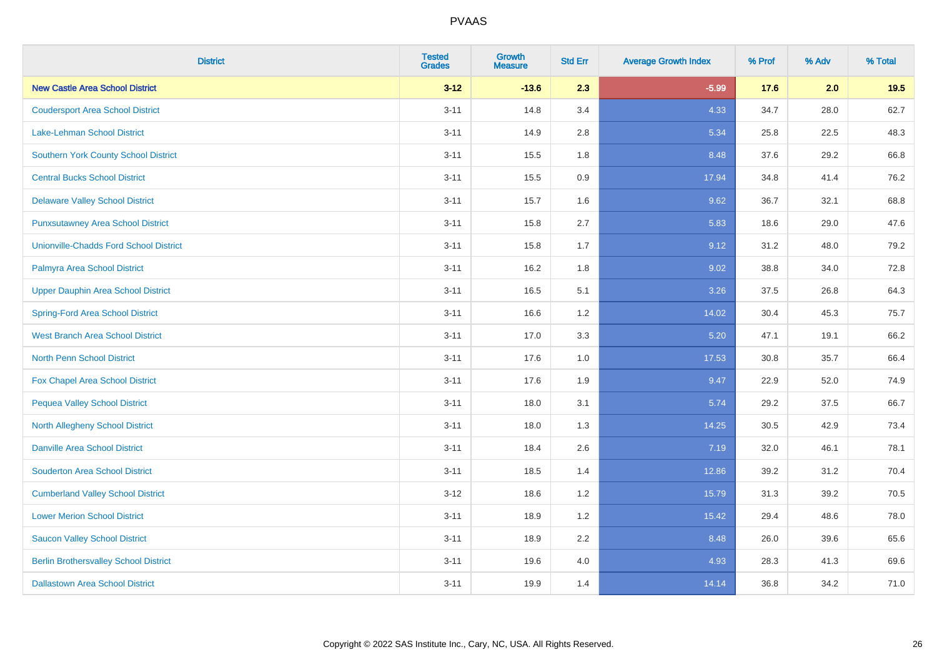| <b>District</b>                              | <b>Tested</b><br><b>Grades</b> | <b>Growth</b><br><b>Measure</b> | <b>Std Err</b> | <b>Average Growth Index</b> | % Prof | % Adv | % Total |
|----------------------------------------------|--------------------------------|---------------------------------|----------------|-----------------------------|--------|-------|---------|
| <b>New Castle Area School District</b>       | $3 - 12$                       | $-13.6$                         | 2.3            | $-5.99$                     | 17.6   | 2.0   | 19.5    |
| <b>Coudersport Area School District</b>      | $3 - 11$                       | 14.8                            | 3.4            | 4.33                        | 34.7   | 28.0  | 62.7    |
| Lake-Lehman School District                  | $3 - 11$                       | 14.9                            | 2.8            | 5.34                        | 25.8   | 22.5  | 48.3    |
| <b>Southern York County School District</b>  | $3 - 11$                       | 15.5                            | 1.8            | 8.48                        | 37.6   | 29.2  | 66.8    |
| <b>Central Bucks School District</b>         | $3 - 11$                       | 15.5                            | 0.9            | 17.94                       | 34.8   | 41.4  | 76.2    |
| <b>Delaware Valley School District</b>       | $3 - 11$                       | 15.7                            | 1.6            | 9.62                        | 36.7   | 32.1  | 68.8    |
| <b>Punxsutawney Area School District</b>     | $3 - 11$                       | 15.8                            | 2.7            | 5.83                        | 18.6   | 29.0  | 47.6    |
| Unionville-Chadds Ford School District       | $3 - 11$                       | 15.8                            | 1.7            | 9.12                        | 31.2   | 48.0  | 79.2    |
| Palmyra Area School District                 | $3 - 11$                       | 16.2                            | 1.8            | 9.02                        | 38.8   | 34.0  | 72.8    |
| <b>Upper Dauphin Area School District</b>    | $3 - 11$                       | 16.5                            | 5.1            | 3.26                        | 37.5   | 26.8  | 64.3    |
| <b>Spring-Ford Area School District</b>      | $3 - 11$                       | 16.6                            | 1.2            | 14.02                       | 30.4   | 45.3  | 75.7    |
| <b>West Branch Area School District</b>      | $3 - 11$                       | 17.0                            | 3.3            | 5.20                        | 47.1   | 19.1  | 66.2    |
| North Penn School District                   | $3 - 11$                       | 17.6                            | 1.0            | 17.53                       | 30.8   | 35.7  | 66.4    |
| <b>Fox Chapel Area School District</b>       | $3 - 11$                       | 17.6                            | 1.9            | 9.47                        | 22.9   | 52.0  | 74.9    |
| <b>Pequea Valley School District</b>         | $3 - 11$                       | 18.0                            | 3.1            | 5.74                        | 29.2   | 37.5  | 66.7    |
| <b>North Allegheny School District</b>       | $3 - 11$                       | 18.0                            | 1.3            | 14.25                       | 30.5   | 42.9  | 73.4    |
| <b>Danville Area School District</b>         | $3 - 11$                       | 18.4                            | 2.6            | 7.19                        | 32.0   | 46.1  | 78.1    |
| <b>Souderton Area School District</b>        | $3 - 11$                       | 18.5                            | 1.4            | 12.86                       | 39.2   | 31.2  | 70.4    |
| <b>Cumberland Valley School District</b>     | $3 - 12$                       | 18.6                            | 1.2            | 15.79                       | 31.3   | 39.2  | 70.5    |
| <b>Lower Merion School District</b>          | $3 - 11$                       | 18.9                            | 1.2            | 15.42                       | 29.4   | 48.6  | 78.0    |
| <b>Saucon Valley School District</b>         | $3 - 11$                       | 18.9                            | 2.2            | 8.48                        | 26.0   | 39.6  | 65.6    |
| <b>Berlin Brothersvalley School District</b> | $3 - 11$                       | 19.6                            | 4.0            | 4.93                        | 28.3   | 41.3  | 69.6    |
| <b>Dallastown Area School District</b>       | $3 - 11$                       | 19.9                            | 1.4            | 14.14                       | 36.8   | 34.2  | 71.0    |